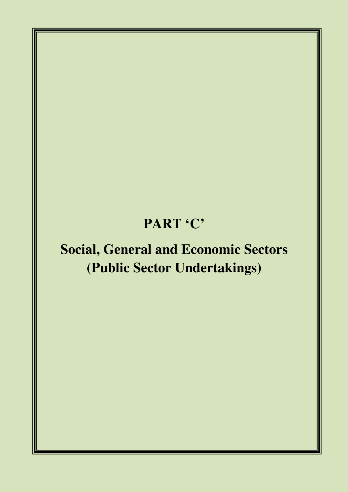# **PART 'C'**

# **Social, General and Economic Sectors (Public Sector Undertakings)**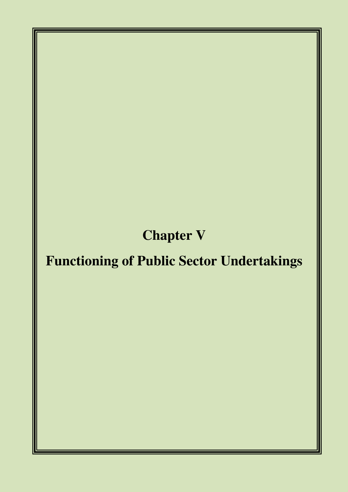# **Chapter V**

# **Functioning of Public Sector Undertakings**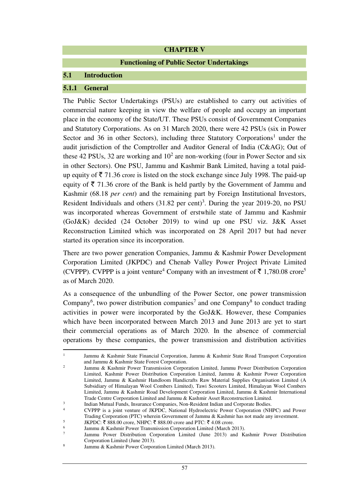#### **CHAPTER V**

#### **Functioning of Public Sector Undertakings**

#### **5.1 Introduction**

#### **5.1.1 General**

 $\overline{a}$ 1

The Public Sector Undertakings (PSUs) are established to carry out activities of commercial nature keeping in view the welfare of people and occupy an important place in the economy of the State/UT. These PSUs consist of Government Companies and Statutory Corporations. As on 31 March 2020, there were 42 PSUs (six in Power Sector and 36 in other Sectors), including three Statutory Corporations<sup>1</sup> under the audit jurisdiction of the Comptroller and Auditor General of India (C&AG); Out of these 42 PSUs, 32 are working and  $10^2$  are non-working (four in Power Sector and six in other Sectors). One PSU, Jammu and Kashmir Bank Limited, having a total paidup equity of  $\bar{\tau}$  71.36 crore is listed on the stock exchange since July 1998. The paid-up equity of  $\bar{\tau}$  71.36 crore of the Bank is held partly by the Government of Jammu and Kashmir (68.18 *per cent*) and the remaining part by Foreign Institutional Investors, Resident Individuals and others  $(31.82 \text{ per cent})^3$ . During the year 2019-20, no PSU was incorporated whereas Government of erstwhile state of Jammu and Kashmir (GoJ&K) decided (24 October 2019) to wind up one PSU viz. J&K Asset Reconstruction Limited which was incorporated on 28 April 2017 but had never started its operation since its incorporation.

There are two power generation Companies, Jammu & Kashmir Power Development Corporation Limited (JKPDC) and Chenab Valley Power Project Private Limited (CVPPP). CVPPP is a joint venture<sup>4</sup> Company with an investment of  $\bar{\tau}$  1,780.08 crore<sup>5</sup> as of March 2020.

As a consequence of the unbundling of the Power Sector, one power transmission Company<sup>6</sup>, two power distribution companies<sup>7</sup> and one Company<sup>8</sup> to conduct trading activities in power were incorporated by the GoJ&K. However, these Companies which have been incorporated between March 2013 and June 2013 are yet to start their commercial operations as of March 2020. In the absence of commercial operations by these companies, the power transmission and distribution activities

Jammu & Kashmir State Financial Corporation, Jammu & Kashmir State Road Transport Corporation and Jammu & Kashmir State Forest Corporation.

<sup>2</sup> Jammu & Kashmir Power Transmission Corporation Limited, Jammu Power Distribution Corporation Limited, Kashmir Power Distribution Corporation Limited, Jammu & Kashmir Power Corporation Limited, Jammu & Kashmir Handloom Handicrafts Raw Material Supplies Organisation Limited (A Subsidiary of Himalayan Wool Combers Limited), Tawi Scooters Limited, Himalayan Wool Combers Limited, Jammu & Kashmir Road Development Corporation Limited, Jammu & Kashmir International Trade Centre Corporation Limited and Jammu & Kashmir Asset Reconstruction Limited.

<sup>3</sup> Indian Mutual Funds, Insurance Companies, Non-Resident Indian and Corporate Bodies.

<sup>4</sup> CVPPP is a joint venture of JKPDC, National Hydroelectric Power Corporation (NHPC) and Power Trading Corporation (PTC) wherein Government of Jammu & Kashmir has not made any investment.

<sup>5</sup> JKPDC:  $\bar{\xi}$  888.00 crore, NHPC:  $\bar{\xi}$  888.00 crore and PTC:  $\bar{\xi}$  4.08 crore.

<sup>6</sup> Jammu & Kashmir Power Transmission Corporation Limited (March 2013).

<sup>7</sup> Jammu Power Distribution Corporation Limited (June 2013) and Kashmir Power Distribution Corporation Limited (June 2013).

<sup>8</sup> Jammu & Kashmir Power Corporation Limited (March 2013).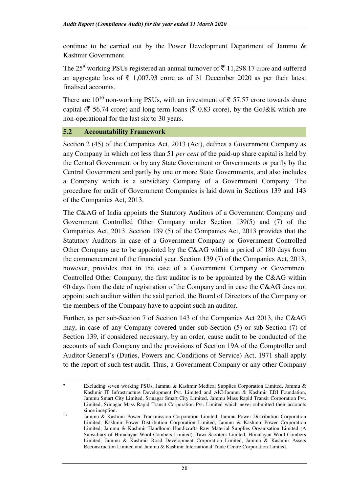continue to be carried out by the Power Development Department of Jammu & Kashmir Government.

The 25<sup>9</sup> working PSUs registered an annual turnover of  $\bar{\tau}$  11,298.17 crore and suffered an aggregate loss of  $\bar{\tau}$  1,007.93 crore as of 31 December 2020 as per their latest finalised accounts.

There are  $10^{10}$  non-working PSUs, with an investment of  $\overline{\xi}$  57.57 crore towards share capital ( $\bar{\tau}$  56.74 crore) and long term loans ( $\bar{\tau}$  0.83 crore), by the GoJ&K which are non-operational for the last six to 30 years.

# **5.2 Accountability Framework**

l

Section 2 (45) of the Companies Act, 2013 (Act), defines a Government Company as any Company in which not less than 51 *per cent* of the paid-up share capital is held by the Central Government or by any State Government or Governments or partly by the Central Government and partly by one or more State Governments, and also includes a Company which is a subsidiary Company of a Government Company. The procedure for audit of Government Companies is laid down in Sections 139 and 143 of the Companies Act, 2013.

The C&AG of India appoints the Statutory Auditors of a Government Company and Government Controlled Other Company under Section 139(5) and (7) of the Companies Act, 2013. Section 139 (5) of the Companies Act, 2013 provides that the Statutory Auditors in case of a Government Company or Government Controlled Other Company are to be appointed by the C&AG within a period of 180 days from the commencement of the financial year. Section 139 (7) of the Companies Act, 2013, however, provides that in the case of a Government Company or Government Controlled Other Company, the first auditor is to be appointed by the C&AG within 60 days from the date of registration of the Company and in case the C&AG does not appoint such auditor within the said period, the Board of Directors of the Company or the members of the Company have to appoint such an auditor.

Further, as per sub-Section 7 of Section 143 of the Companies Act 2013, the C&AG may, in case of any Company covered under sub-Section (5) or sub-Section (7) of Section 139, if considered necessary, by an order, cause audit to be conducted of the accounts of such Company and the provisions of Section 19A of the Comptroller and Auditor General's (Duties, Powers and Conditions of Service) Act, 1971 shall apply to the report of such test audit. Thus, a Government Company or any other Company

<sup>9</sup> Excluding seven working PSUs, Jammu & Kashmir Medical Supplies Corporation Limited, Jammu & Kashmir IT Infrastructure Development Pvt. Limited and AIC-Jammu & Kashmir EDI Foundation, Jammu Smart City Limited, Srinagar Smart City Limited, Jammu Mass Rapid Transit Corporation Pvt. Limited, Srinagar Mass Rapid Transit Corporation Pvt. Limited which never submitted their accounts since inception.

<sup>&</sup>lt;sup>10</sup> Jammu  $\&$  Kashmir Power Transmission Corporation Limited, Jammu Power Distribution Corporation Limited, Kashmir Power Distribution Corporation Limited, Jammu & Kashmir Power Corporation Limited, Jammu & Kashmir Handloom Handicrafts Raw Material Supplies Organisation Limited (A Subsidiary of Himalayan Wool Combers Limited), Tawi Scooters Limited, Himalayan Wool Combers Limited, Jammu & Kashmir Road Development Corporation Limited, Jammu & Kashmir Assets Reconstruction Limited and Jammu & Kashmir International Trade Centre Corporation Limited.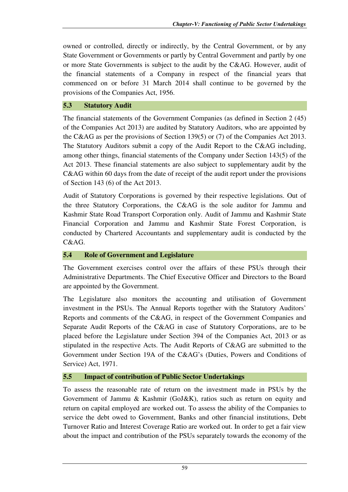owned or controlled, directly or indirectly, by the Central Government, or by any State Government or Governments or partly by Central Government and partly by one or more State Governments is subject to the audit by the C&AG. However, audit of the financial statements of a Company in respect of the financial years that commenced on or before 31 March 2014 shall continue to be governed by the provisions of the Companies Act, 1956.

# **5.3 Statutory Audit**

The financial statements of the Government Companies (as defined in Section 2 (45) of the Companies Act 2013) are audited by Statutory Auditors, who are appointed by the C&AG as per the provisions of Section 139(5) or (7) of the Companies Act 2013. The Statutory Auditors submit a copy of the Audit Report to the C&AG including, among other things, financial statements of the Company under Section 143(5) of the Act 2013. These financial statements are also subject to supplementary audit by the C&AG within 60 days from the date of receipt of the audit report under the provisions of Section 143 (6) of the Act 2013.

Audit of Statutory Corporations is governed by their respective legislations. Out of the three Statutory Corporations, the C&AG is the sole auditor for Jammu and Kashmir State Road Transport Corporation only. Audit of Jammu and Kashmir State Financial Corporation and Jammu and Kashmir State Forest Corporation, is conducted by Chartered Accountants and supplementary audit is conducted by the C&AG.

# **5.4 Role of Government and Legislature**

The Government exercises control over the affairs of these PSUs through their Administrative Departments. The Chief Executive Officer and Directors to the Board are appointed by the Government.

The Legislature also monitors the accounting and utilisation of Government investment in the PSUs. The Annual Reports together with the Statutory Auditors' Reports and comments of the C&AG, in respect of the Government Companies and Separate Audit Reports of the C&AG in case of Statutory Corporations, are to be placed before the Legislature under Section 394 of the Companies Act, 2013 or as stipulated in the respective Acts. The Audit Reports of C&AG are submitted to the Government under Section 19A of the C&AG's (Duties, Powers and Conditions of Service) Act, 1971.

# **5.5 Impact of contribution of Public Sector Undertakings**

To assess the reasonable rate of return on the investment made in PSUs by the Government of Jammu & Kashmir (GoJ&K), ratios such as return on equity and return on capital employed are worked out. To assess the ability of the Companies to service the debt owed to Government, Banks and other financial institutions, Debt Turnover Ratio and Interest Coverage Ratio are worked out. In order to get a fair view about the impact and contribution of the PSUs separately towards the economy of the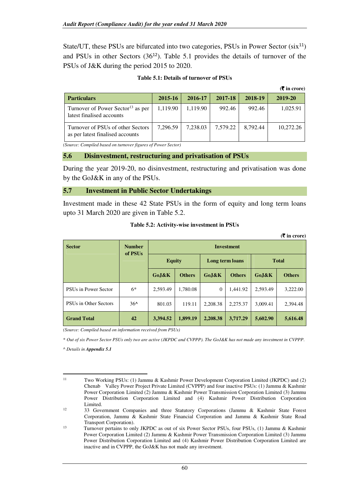State/UT, these PSUs are bifurcated into two categories, PSUs in Power Sector  $(six^{11})$ and PSUs in other Sectors  $(36^{12})$ . Table 5.1 provides the details of turnover of the PSUs of J&K during the period 2015 to 2020.

| Table 5.1: Details of turnover of PSUs |
|----------------------------------------|
|----------------------------------------|

|                                                                            |          |          |          |          | $($ $\overline{\mathbf{\xi}}$ in crore) |
|----------------------------------------------------------------------------|----------|----------|----------|----------|-----------------------------------------|
| <b>Particulars</b>                                                         | 2015-16  | 2016-17  | 2017-18  | 2018-19  | 2019-20                                 |
| Turnover of Power Sector <sup>13</sup> as per<br>latest finalised accounts | 1,119.90 | 1,119.90 | 992.46   | 992.46   | 1,025.91                                |
| Turnover of PSUs of other Sectors<br>as per latest finalised accounts      | 7,296.59 | 7,238.03 | 7,579.22 | 8.792.44 | 10,272.26                               |

*(Source: Compiled based on turnover figures of Power Sector)* 

#### **5.6 Disinvestment, restructuring and privatisation of PSUs**

During the year 2019-20, no disinvestment, restructuring and privatisation was done by the GoJ&K in any of the PSUs.

#### **5.7 Investment in Public Sector Undertakings**

Investment made in these 42 State PSUs in the form of equity and long term loans upto 31 March 2020 are given in Table 5.2.

| <b>Sector</b>         | <b>Number</b>       | $(5 \times 1)$ around (5)<br><b>Investment</b> |               |                 |               |              |               |  |
|-----------------------|---------------------|------------------------------------------------|---------------|-----------------|---------------|--------------|---------------|--|
|                       | of PSU <sub>s</sub> | <b>Equity</b>                                  |               | Long term loans |               | <b>Total</b> |               |  |
|                       |                     | GoJ&K                                          | <b>Others</b> | GoJ&K           | <b>Others</b> | GoJ&K        | <b>Others</b> |  |
| PSUs in Power Sector  | $6*$                | 2,593.49                                       | 1,780.08      | $\theta$        | 1.441.92      | 2,593.49     | 3,222.00      |  |
| PSUs in Other Sectors | $36^{\circ}$        | 801.03                                         | 119.11        | 2,208.38        | 2,275.37      | 3,009.41     | 2,394.48      |  |
| <b>Grand Total</b>    | 42                  | 3,394.52                                       | 1,899.19      | 2,208.38        | 3,717.29      | 5,602.90     | 5,616.48      |  |

**Table 5.2: Activity-wise investment in PSUs** 

*(Source: Compiled based on information received from PSUs)* 

\* *Out of six Power Sector PSUs only two are active (JKPDC and CVPPP). The GoJ&K has not made any investment in CVPPP*.

^ *Details in Appendix 5.1* 

l

<sup>11</sup> Two Working PSUs: (1) Jammu & Kashmir Power Development Corporation Limited (JKPDC) and (2) Chenab Valley Power Project Private Limited (CVPPP) and four inactive PSUs: (1) Jammu & Kashmir Power Corporation Limited (2) Jammu & Kashmir Power Transmission Corporation Limited (3) Jammu Power Distribution Corporation Limited and (4) Kashmir Power Distribution Corporation  $Limited.$ 

<sup>12</sup> 33 Government Companies and three Statutory Corporations (Jammu & Kashmir State Forest Corporation, Jammu & Kashmir State Financial Corporation and Jammu & Kashmir State Road Transport Corporation).

<sup>13</sup> Turnover pertains to only JKPDC as out of six Power Sector PSUs, four PSUs, (1) Jammu & Kashmir Power Corporation Limited (2) Jammu & Kashmir Power Transmission Corporation Limited (3) Jammu Power Distribution Corporation Limited and (4) Kashmir Power Distribution Corporation Limited are inactive and in CVPPP, the GoJ&K has not made any investment.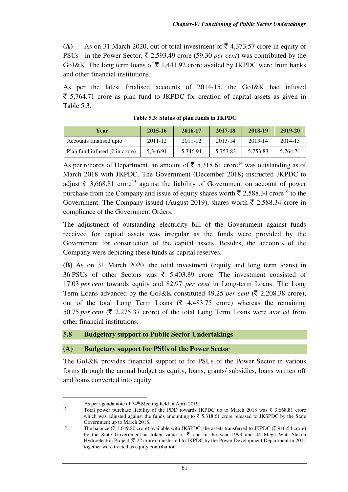**(A)** As on 31 March 2020, out of total investment of  $\bar{\mathbf{\tau}}$  4,373.57 crore in equity of PSUs in the Power Sector,  $\bar{\tau}$  2,593.49 crore (59.30 *per cent*) was contributed by the GoJ&K. The long term loans of  $\overline{\xi}$  1,441.92 crore availed by JKPDC were from banks and other financial institutions.

As per the latest finalised accounts of 2014-15, the GoJ&K had infused  $\bar{\tau}$  5,764.71 crore as plan fund to JKPDC for creation of capital assets as given in Table 5.3.

| Year                                       | 2015-16  | 2016-17  | 2017-18  | 2018-19  | 2019-20  |
|--------------------------------------------|----------|----------|----------|----------|----------|
| Accounts finalised upto                    | 2011-12  | 2011-12  | 2013-14  | 2013-14  | 2014-15  |
| Plan fund infused ( $\bar{\tau}$ in crore) | 5.346.91 | 5.346.91 | 5.753.83 | 5.753.83 | 5.764.71 |

**Table 5.3: Status of plan funds in JKPDC** 

As per records of Department, an amount of  $\bar{\tau}$  5,318.61 crore<sup>14</sup> was outstanding as of March 2018 with JKPDC. The Government (December 2018) instructed JKPDC to adjust  $\bar{\tau}$  3,668.81 crore<sup>15</sup> against the liability of Government on account of power purchase from the Company and issue of equity shares worth  $\bar{\tau}$  2,588.34 crore<sup>16</sup> to the Government. The Company issued (August 2019), shares worth  $\bar{\tau}$  2,588.34 crore in compliance of the Government Orders.

The adjustment of outstanding electricity bill of the Government against funds received for capital assets was irregular as the funds were provided by the Government for construction of the capital assets. Besides, the accounts of the Company were depicting these funds as capital reserves.

**(B)** As on 31 March 2020, the total investment (equity and long term loans) in 36 PSUs of other Sectors was  $\bar{\xi}$  5,403.89 crore. The investment consisted of 17.03 *per cent* towards equity and 82.97 *per cent* in Long-term Loans. The Long Term Loans advanced by the GoJ&K constituted 49.25 *per cent* ( $\bar{\tau}$  2,208.38 crore), out of the total Long Term Loans ( $\bar{\zeta}$  4,483.75 crore) whereas the remaining 50.75 *per cent* ( $\overline{\xi}$  2,275.37 crore) of the total Long Term Loans were availed from other financial institutions.

# **5.8 Budgetary support to Public Sector Undertakings**

# **(A) Budgetary support for PSUs of the Power Sector**

The GoJ&K provides financial support to for PSUs of the Power Sector in various forms through the annual budget as equity, loans, grants/ subsidies, loans written off and loans converted into equity.

 $\overline{a}$ 

<sup>&</sup>lt;sup>14</sup> As per agenda note of  $74<sup>th</sup>$  Meeting held in April 2019.

Total power purchase liability of the PDD towards JKPDC up to March 2018 was  $\bar{\tau}$  3,668.81 crore which was adjusted against the funds amounting to  $\overline{5}$  5,318.61 crore released to JKSPDC by the State Government up to March 2018.

<sup>&</sup>lt;sup>16</sup> The balance ( $\overline{\mathfrak{F}}$  1,649.80 crore) available with JKSPDC, the assets transferred to JKPDC ( $\overline{\mathfrak{F}}$  916.54 crore) by the State Government at token value of  $\bar{\tau}$  one in the year 1999 and 44 Mega Watt Stakna Hydroelectric Project ( $\overline{\xi}$  22 crore) transferred to JKPDC by the Power Development Department in 2011 together were treated as equity contribution.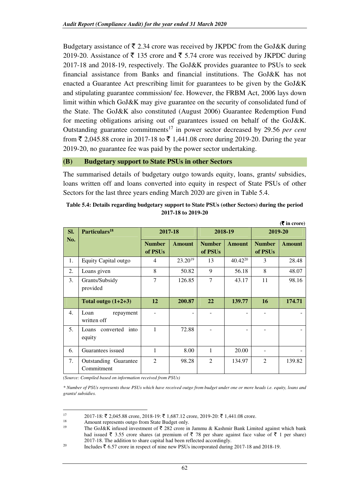Budgetary assistance of  $\bar{\tau}$  2.34 crore was received by JKPDC from the GoJ&K during 2019-20. Assistance of  $\bar{\tau}$  135 crore and  $\bar{\tau}$  5.74 crore was received by JKPDC during 2017-18 and 2018-19, respectively. The GoJ&K provides guarantee to PSUs to seek financial assistance from Banks and financial institutions. The GoJ&K has not enacted a Guarantee Act prescribing limit for guarantees to be given by the GoJ&K and stipulating guarantee commission/ fee. However, the FRBM Act, 2006 lays down limit within which GoJ&K may give guarantee on the security of consolidated fund of the State. The GoJ&K also constituted (August 2006) Guarantee Redemption Fund for meeting obligations arising out of guarantees issued on behalf of the GoJ&K. Outstanding guarantee commitments<sup>17</sup> in power sector decreased by 29.56 *per cent* from  $\bar{\xi}$  2.045.88 crore in 2017-18 to  $\bar{\xi}$  1.441.08 crore during 2019-20. During the year 2019-20, no guarantee fee was paid by the power sector undertaking.

#### **(B) Budgetary support to State PSUs in other Sectors**

The summarised details of budgetary outgo towards equity, loans, grants/ subsidies, loans written off and loans converted into equity in respect of State PSUs of other Sectors for the last three years ending March 2020 are given in Table 5.4.

| Table 5.4: Details regarding budgetary support to State PSUs (other Sectors) during the period |
|------------------------------------------------------------------------------------------------|
| 2017-18 to 2019-20                                                                             |

**(**` **in crore)** 

| Particulars <sup>18</sup><br>SI. |                                     | 2017-18                  |               |                          | 2018-19             | 2019-20                  |               |
|----------------------------------|-------------------------------------|--------------------------|---------------|--------------------------|---------------------|--------------------------|---------------|
| No.                              |                                     | <b>Number</b><br>of PSUs | <b>Amount</b> | <b>Number</b><br>of PSUs | <b>Amount</b>       | <b>Number</b><br>of PSUs | <b>Amount</b> |
| 1.                               | Equity Capital outgo                | 4                        | $23.20^{19}$  | 13                       | 40.42 <sup>20</sup> | 3                        | 28.48         |
| 2.                               | Loans given                         | 8                        | 50.82         | 9                        | 56.18               | 8                        | 48.07         |
| 3.                               | Grants/Subsidy<br>provided          | 7                        | 126.85        | $\tau$                   | 43.17               | 11                       | 98.16         |
|                                  | Total outgo $(1+2+3)$               | 12                       | 200.87        | 22                       | 139.77              | 16                       | 174.71        |
| 4.                               | Loan<br>repayment<br>written off    |                          |               |                          |                     |                          |               |
| 5.                               | Loans converted into<br>equity      | 1                        | 72.88         |                          |                     |                          |               |
| 6.                               | Guarantees issued                   | 1                        | 8.00          | 1                        | 20.00               |                          |               |
| 7.                               | Outstanding Guarantee<br>Commitment | $\overline{2}$           | 98.28         | $\mathfrak{D}$           | 134.97              | $\overline{2}$           | 139.82        |

*(Source: Compiled based on information received from PSUs)* 

l

*\* Number of PSUs represents those PSUs which have received outgo from budget under one or more heads i.e. equity, loans and grants/ subsidies.* 

<sup>17 2017-18:</sup>  $\bar{\xi}$  2,045.88 crore, 2018-19:  $\bar{\xi}$  1,687.12 crore, 2019-20:  $\bar{\xi}$  1,441.08 crore.

<sup>&</sup>lt;sup>18</sup> Amount represents outgo from State Budget only.<br><sup>19</sup> The Ce <sup>19</sup> K infered investment of  $\bar{x}$  282 cross in

The GoJ&K infused investment of  $\bar{\tau}$  282 crore in Jammu & Kashmir Bank Limited against which bank had issued  $\bar{\xi}$  3.55 crore shares (at premium of  $\bar{\xi}$  78 per share against face value of  $\bar{\xi}$  1 per share) 2017-18. The addition to share capital had been reflected accordingly.

<sup>&</sup>lt;sup>20</sup> Includes  $\bar{z}$  6.57 crore in respect of nine new PSUs incorporated during 2017-18 and 2018-19.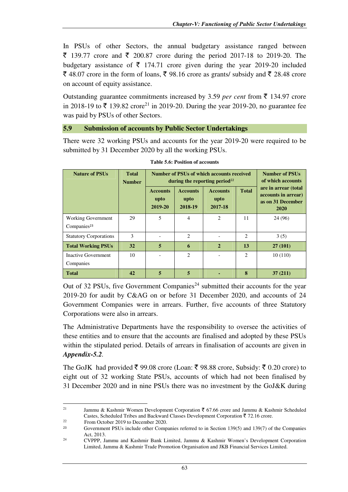In PSUs of other Sectors, the annual budgetary assistance ranged between ₹ 139.77 crore and ₹ 200.87 crore during the period 2017-18 to 2019-20. The budgetary assistance of  $\bar{\tau}$  174.71 crore given during the year 2019-20 included  $\bar{\xi}$  48.07 crore in the form of loans,  $\bar{\xi}$  98.16 crore as grants/ subsidy and  $\bar{\xi}$  28.48 crore on account of equity assistance.

Outstanding guarantee commitments increased by 3.59 *per cent* from  $\bar{\tau}$  134.97 crore in 2018-19 to  $\bar{\xi}$  139.82 crore<sup>21</sup> in 2019-20. During the year 2019-20, no guarantee fee was paid by PSUs of other Sectors.

#### **5.9 Submission of accounts by Public Sector Undertakings**

There were 32 working PSUs and accounts for the year 2019-20 were required to be submitted by 31 December 2020 by all the working PSUs.

| <b>Nature of PSUs</b>         | <b>Total</b><br><b>Number</b> |                                    | Number of PSUs of which accounts received<br>during the reporting period <sup>22</sup> | <b>Number of PSUs</b><br>of which accounts |                |                                                                          |
|-------------------------------|-------------------------------|------------------------------------|----------------------------------------------------------------------------------------|--------------------------------------------|----------------|--------------------------------------------------------------------------|
|                               |                               | <b>Accounts</b><br>upto<br>2019-20 | <b>Accounts</b><br>upto<br>2018-19                                                     | <b>Accounts</b><br>upto<br>2017-18         | <b>Total</b>   | are in arrear (total<br>accounts in arrear)<br>as on 31 December<br>2020 |
| <b>Working Government</b>     | 29                            | 5                                  | $\overline{4}$                                                                         | $\overline{c}$                             | 11             | 24 (96)                                                                  |
| Companies <sup>23</sup>       |                               |                                    |                                                                                        |                                            |                |                                                                          |
| <b>Statutory Corporations</b> | 3                             |                                    | 2                                                                                      |                                            | $\overline{c}$ | 3(5)                                                                     |
| <b>Total Working PSUs</b>     | 32                            | 5                                  | 6                                                                                      | $\overline{2}$                             | 13             | 27(101)                                                                  |
| Inactive Government           | 10                            |                                    | 2                                                                                      |                                            | $\overline{c}$ | 10(110)                                                                  |
| Companies                     |                               |                                    |                                                                                        |                                            |                |                                                                          |
| <b>Total</b>                  | 42                            | 5                                  | $\overline{5}$                                                                         |                                            | 8              | 37(211)                                                                  |

**Table 5.6: Position of accounts**

Out of 32 PSUs, five Government Companies<sup>24</sup> submitted their accounts for the year 2019-20 for audit by C&AG on or before 31 December 2020, and accounts of 24 Government Companies were in arrears. Further, five accounts of three Statutory Corporations were also in arrears.

The Administrative Departments have the responsibility to oversee the activities of these entities and to ensure that the accounts are finalised and adopted by these PSUs within the stipulated period. Details of arrears in finalisation of accounts are given in *Appendix-5.2.*

The GoJK had provided  $\bar{\xi}$  99.08 crore (Loan:  $\bar{\xi}$  98.88 crore, Subsidy:  $\bar{\xi}$  0.20 crore) to eight out of 32 working State PSUs, accounts of which had not been finalised by 31 December 2020 and in nine PSUs there was no investment by the GoJ&K during

 $\overline{a}$ 

<sup>&</sup>lt;sup>21</sup> Jammu & Kashmir Women Development Corporation  $\bar{\tau}$  67.66 crore and Jammu & Kashmir Scheduled Castes, Scheduled Tribes and Backward Classes Development Corporation  $\bar{z}$  72.16 crore.

<sup>22</sup> From October 2019 to December 2020.

<sup>23</sup> Government PSUs include other Companies referred to in Section 139(5) and 139(7) of the Companies Act, 2013.

<sup>24</sup> CVPPP, Jammu and Kashmir Bank Limited, Jammu & Kashmir Women's Development Corporation Limited, Jammu & Kashmir Trade Promotion Organisation and JKB Financial Services Limited.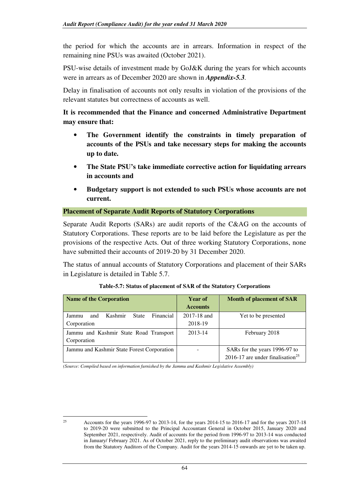the period for which the accounts are in arrears. Information in respect of the remaining nine PSUs was awaited (October 2021).

PSU-wise details of investment made by GoJ&K during the years for which accounts were in arrears as of December 2020 are shown in *Appendix-5.3.* 

Delay in finalisation of accounts not only results in violation of the provisions of the relevant statutes but correctness of accounts as well.

**It is recommended that the Finance and concerned Administrative Department may ensure that:** 

- **The Government identify the constraints in timely preparation of accounts of the PSUs and take necessary steps for making the accounts up to date.**
- **The State PSU's take immediate corrective action for liquidating arrears in accounts and**
- **Budgetary support is not extended to such PSUs whose accounts are not current.**

#### **Placement of Separate Audit Reports of Statutory Corporations**

Separate Audit Reports (SARs) are audit reports of the C&AG on the accounts of Statutory Corporations. These reports are to be laid before the Legislature as per the provisions of the respective Acts. Out of three working Statutory Corporations, none have submitted their accounts of 2019-20 by 31 December 2020.

The status of annual accounts of Statutory Corporations and placement of their SARs in Legislature is detailed in Table 5.7.

| <b>Name of the Corporation</b>                | Year of<br><b>Accounts</b> | <b>Month of placement of SAR</b>             |
|-----------------------------------------------|----------------------------|----------------------------------------------|
| Financial<br>Kashmir<br>State<br>and<br>Jammu | 2017-18 and                | Yet to be presented                          |
| Corporation                                   | 2018-19                    |                                              |
| Jammu and Kashmir State Road Transport        | 2013-14                    | February 2018                                |
| Corporation                                   |                            |                                              |
| Jammu and Kashmir State Forest Corporation    |                            | SARs for the years 1996-97 to                |
|                                               |                            | 2016-17 are under finalisation <sup>25</sup> |

#### **Table-5.7: Status of placement of SAR of the Statutory Corporations**

*(Source: Compiled based on information furnished by the Jammu and Kashmir Legislative Assembly)* 

 $\overline{a}$ 

<sup>&</sup>lt;sup>25</sup> Accounts for the years 1996-97 to 2013-14, for the years 2014-15 to 2016-17 and for the years 2017-18 to 2019-20 were submitted to the Principal Accountant General in October 2015, January 2020 and September 2021, respectively. Audit of accounts for the period from 1996-97 to 2013-14 was conducted in January/ February 2021. As of October 2021, reply to the preliminary audit observations was awaited from the Statutory Auditors of the Company. Audit for the years 2014-15 onwards are yet to be taken up.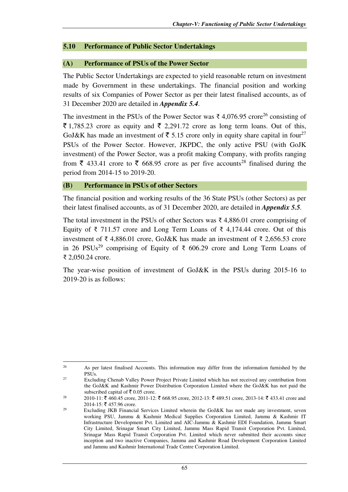#### **5.10 Performance of Public Sector Undertakings**

## **(A) Performance of PSUs of the Power Sector**

The Public Sector Undertakings are expected to yield reasonable return on investment made by Government in these undertakings. The financial position and working results of six Companies of Power Sector as per their latest finalised accounts, as of 31 December 2020 are detailed in *Appendix 5.4*.

The investment in the PSUs of the Power Sector was  $\bar{\tau}$  4,076.95 crore<sup>26</sup> consisting of  $\bar{\xi}$  1,785.23 crore as equity and  $\bar{\xi}$  2,291.72 crore as long term loans. Out of this, GoJ&K has made an investment of  $\overline{5}$  5.15 crore only in equity share capital in four<sup>27</sup> PSUs of the Power Sector. However, JKPDC, the only active PSU (with GoJK investment) of the Power Sector, was a profit making Company, with profits ranging from  $\bar{\xi}$  433.41 crore to  $\bar{\xi}$  668.95 crore as per five accounts<sup>28</sup> finalised during the period from 2014-15 to 2019-20.

#### **(B) Performance in PSUs of other Sectors**

 $\overline{a}$ 

The financial position and working results of the 36 State PSUs (other Sectors) as per their latest finalised accounts, as of 31 December 2020, are detailed in *Appendix 5.5.*

The total investment in the PSUs of other Sectors was ₹ 4,886.01 crore comprising of Equity of  $\bar{\tau}$  711.57 crore and Long Term Loans of  $\bar{\tau}$  4,174.44 crore. Out of this investment of ₹ 4,886.01 crore, GoJ&K has made an investment of ₹ 2,656.53 crore in 26 PSUs<sup>29</sup> comprising of Equity of ₹ 606.29 crore and Long Term Loans of ₹ 2,050.24 crore.

The year-wise position of investment of GoJ&K in the PSUs during 2015-16 to 2019-20 is as follows:

<sup>&</sup>lt;sup>26</sup> As per latest finalised Accounts. This information may differ from the information furnished by the PSUs.

<sup>&</sup>lt;sup>27</sup> Excluding Chenab Valley Power Project Private Limited which has not received any contribution from the GoJ&K and Kashmir Power Distribution Corporation Limited where the GoJ&K has not paid the subscribed capital of  $\bar{\bar{\xi}}$  0.05 crore.

 $^{28}$  2010-11: ₹ 460.45 crore, 2011-12: ₹ 668.95 crore, 2012-13: ₹ 489.51 crore, 2013-14: ₹ 433.41 crore and 2014-15: ₹ 457.96 crore.

<sup>&</sup>lt;sup>29</sup> Excluding JKB Financial Services Limited wherein the GoJ&K has not made any investment, seven working PSU, Jammu & Kashmir Medical Supplies Corporation Limited, Jammu & Kashmir IT Infrastructure Development Pvt. Limited and AIC-Jammu & Kashmir EDI Foundation, Jammu Smart City Limited, Srinagar Smart City Limited, Jammu Mass Rapid Transit Corporation Pvt. Limited, Srinagar Mass Rapid Transit Corporation Pvt. Limited which never submitted their accounts since inception and two inactive Companies, Jammu and Kashmir Road Development Corporation Limited and Jammu and Kashmir International Trade Centre Corporation Limited.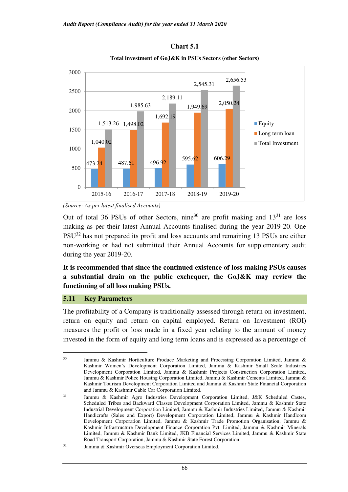#### **Chart 5.1**



**Total investment of GoJ&K in PSUs Sectors (other Sectors)** 

Out of total 36 PSUs of other Sectors, nine<sup>30</sup> are profit making and  $13^{31}$  are loss making as per their latest Annual Accounts finalised during the year 2019-20. One PSU<sup>32</sup> has not prepared its profit and loss accounts and remaining 13 PSUs are either non-working or had not submitted their Annual Accounts for supplementary audit during the year 2019-20.

**It is recommended that since the continued existence of loss making PSUs causes a substantial drain on the public exchequer, the GoJ&K may review the functioning of all loss making PSUs.** 

#### **5.11 Key Parameters**

 $\overline{a}$ 

The profitability of a Company is traditionally assessed through return on investment, return on equity and return on capital employed. Return on Investment (ROI) measures the profit or loss made in a fixed year relating to the amount of money invested in the form of equity and long term loans and is expressed as a percentage of

*<sup>(</sup>Source: As per latest finalised Accounts)* 

<sup>&</sup>lt;sup>30</sup> Jammu & Kashmir Horticulture Produce Marketing and Processing Corporation Limited, Jammu & Kashmir Women's Development Corporation Limited, Jammu & Kashmir Small Scale Industries Development Corporation Limited, Jammu & Kashmir Projects Construction Corporation Limited, Jammu & Kashmir Police Housing Corporation Limited, Jammu & Kashmir Cements Limited, Jammu & Kashmir Tourism Development Corporation Limited and Jammu & Kashmir State Financial Corporation and Jammu & Kashmir Cable Car Corporation Limited.

<sup>31</sup> Jammu & Kashmir Agro Industries Development Corporation Limited, J&K Scheduled Castes, Scheduled Tribes and Backward Classes Development Corporation Limited, Jammu & Kashmir State Industrial Development Corporation Limited, Jammu & Kashmir Industries Limited, Jammu & Kashmir Handicrafts (Sales and Export) Development Corporation Limited, Jammu & Kashmir Handloom Development Corporation Limited, Jammu & Kashmir Trade Promotion Organisation, Jammu & Kashmir Infrastructure Development Finance Corporation Pvt. Limited, Jammu & Kashmir Minerals Limited, Jammu & Kashmir Bank Limited, JKB Financial Services Limited, Jammu & Kashmir State Road Transport Corporation, Jammu & Kashmir State Forest Corporation.

<sup>32</sup> Jammu & Kashmir Overseas Employment Corporation Limited.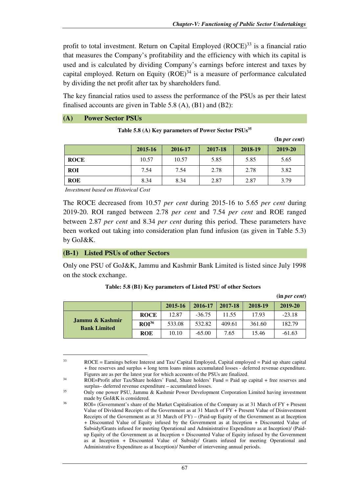**(in** *per cent***)** 

profit to total investment. Return on Capital Employed  $(ROCE)^{33}$  is a financial ratio that measures the Company's profitability and the efficiency with which its capital is used and is calculated by dividing Company's earnings before interest and taxes by capital employed. Return on Equity  $(ROE)^{34}$  is a measure of performance calculated by dividing the net profit after tax by shareholders fund.

The key financial ratios used to assess the performance of the PSUs as per their latest finalised accounts are given in Table 5.8 (A), (B1) and (B2):

#### **(A) Power Sector PSUs**

|             |         |         |         |         | $($ In <i>per cent</i> $)$ |
|-------------|---------|---------|---------|---------|----------------------------|
|             | 2015-16 | 2016-17 | 2017-18 | 2018-19 | 2019-20                    |
| <b>ROCE</b> | 10.57   | 10.57   | 5.85    | 5.85    | 5.65                       |
| <b>ROI</b>  | 7.54    | 7.54    | 2.78    | 2.78    | 3.82                       |
| <b>ROE</b>  | 8.34    | 8.34    | 2.87    | 2.87    | 3.79                       |

**Table 5.8 (A) Key parameters of Power Sector PSUs<sup>35</sup>**

*Investment based on Historical Cost* 

The ROCE decreased from 10.57 *per cent* during 2015-16 to 5.65 *per cent* during 2019-20. ROI ranged between 2.78 *per cent* and 7.54 *per cent* and ROE ranged between 2.87 *per cent* and 8.34 *per cent* during this period. These parameters have been worked out taking into consideration plan fund infusion (as given in Table 5.3) by GoJ&K.

#### **(B-1) Listed PSUs of other Sectors**

l

Only one PSU of GoJ&K, Jammu and Kashmir Bank Limited is listed since July 1998 on the stock exchange.

|                                        |                   |         |          |         |         | $(III)$ $P$ $C$ $I$ $C$ $I$ $I$ $I$ $I$ $I$ |
|----------------------------------------|-------------------|---------|----------|---------|---------|---------------------------------------------|
|                                        |                   | 2015-16 | 2016-17  | 2017-18 | 2018-19 | 2019-20                                     |
|                                        | <b>ROCE</b>       | 12.87   | $-36.75$ | 11.55   | 17.93   | $-23.18$                                    |
| Jammu & Kashmir<br><b>Bank Limited</b> | ROI <sup>36</sup> | 533.08  | 532.82   | 409.61  | 361.60  | 182.79                                      |
|                                        | <b>ROE</b>        | 10.10   | $-65.00$ | 7.65    | 15.46   | $-61.63$                                    |

#### **Table: 5.8 (B1) Key parameters of Listed PSU of other Sectors**

<sup>33</sup> ROCE = Earnings before Interest and Tax/ Capital Employed, Capital employed = Paid up share capital + free reserves and surplus + long term loans minus accumulated losses - deferred revenue expenditure. Figures are as per the latest year for which accounts of the PSUs are finalized.

<sup>&</sup>lt;sup>34</sup> ROE=Profit after Tax/Share holders' Fund, Share holders' Fund = Paid up capital + free reserves and surplus– deferred revenue expenditure – accumulated losses.

<sup>35</sup> Only one power PSU, Jammu & Kashmir Power Development Corporation Limited having investment made by GoJ&K is considered.

<sup>36</sup> ROI= (Government's share of the Market Capitalisation of the Company as at 31 March of FY + Present Value of Dividend Receipts of the Government as at 31 March of FY + Present Value of Disinvestment Receipts of the Government as at 31 March of FY) – (Paid-up Equity of the Government as at Inception + Discounted Value of Equity infused by the Government as at Inception + Discounted Value of Subsidy/Grants infused for meeting Operational and Administrative Expenditure as at Inception)/ (Paidup Equity of the Government as at Inception + Discounted Value of Equity infused by the Government as at Inception + Discounted Value of Subsidy/ Grants infused for meeting Operational and Administrative Expenditure as at Inception)/ Number of intervening annual periods.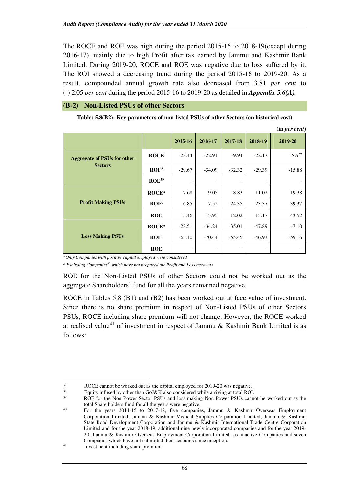The ROCE and ROE was high during the period 2015-16 to 2018-19(except during 2016-17), mainly due to high Profit after tax earned by Jammu and Kashmir Bank Limited. During 2019-20, ROCE and ROE was negative due to loss suffered by it. The ROI showed a decreasing trend during the period 2015-16 to 2019-20. As a result, compounded annual growth rate also decreased from 3.81 *per cent* to (-) 2.05 *per cent* during the period 2015-16 to 2019-20 as detailed in *Appendix 5.6(A).*

#### **(B-2) Non-Listed PSUs of other Sectors**

|  |  | Table: 5.8(B2): Key parameters of non-listed PSUs of other Sectors (on historical cost) |
|--|--|-----------------------------------------------------------------------------------------|
|  |  |                                                                                         |

|                                                      |                   |                          |                          |                          |                          | (in per cent) |
|------------------------------------------------------|-------------------|--------------------------|--------------------------|--------------------------|--------------------------|---------------|
|                                                      |                   | 2015-16                  | 2016-17                  | 2017-18                  | 2018-19                  | 2019-20       |
| <b>Aggregate of PSUs for other</b><br><b>Sectors</b> | <b>ROCE</b>       | $-28.44$                 | $-22.91$                 | $-9.94$                  | $-22.17$                 | $NA^{37}$     |
|                                                      | $ROI^{38}$        | $-29.67$                 | $-34.09$                 | $-32.32$                 | $-29.39$                 | $-15.88$      |
|                                                      | ROE <sup>39</sup> | $\overline{\phantom{a}}$ | $\overline{\phantom{a}}$ | $\overline{\phantom{a}}$ | $\overline{\phantom{a}}$ |               |
|                                                      | $ROCE*$           | 7.68                     | 9.05                     | 8.83                     | 11.02                    | 19.38         |
| <b>Profit Making PSUs</b>                            | $ROI^$            | 6.85                     | 7.52                     | 24.35                    | 23.37                    | 39.37         |
|                                                      | <b>ROE</b>        | 15.46                    | 13.95                    | 12.02                    | 13.17                    | 43.52         |
| <b>Loss Making PSUs</b>                              | $ROCE*$           | $-28.51$                 | $-34.24$                 | $-35.01$                 | $-47.89$                 | $-7.10$       |
|                                                      | $ROI^$            | $-63.10$                 | $-70.44$                 | $-55.45$                 | $-46.93$                 | $-59.16$      |
|                                                      | <b>ROE</b>        | $\overline{\phantom{a}}$ | $\overline{\phantom{a}}$ | $\overline{\phantom{a}}$ | $\overline{\phantom{a}}$ |               |

\**Only Companies with positive capital employed were considered* 

*^ Excluding Companies<sup>40</sup> which have not prepared the Profit and Loss accounts* 

ROE for the Non-Listed PSUs of other Sectors could not be worked out as the aggregate Shareholders' fund for all the years remained negative.

ROCE in Tables 5.8 (B1) and (B2) has been worked out at face value of investment. Since there is no share premium in respect of Non-Listed PSUs of other Sectors PSUs, ROCE including share premium will not change. However, the ROCE worked at realised value<sup>41</sup> of investment in respect of Jammu & Kashmir Bank Limited is as follows:

l

 $\frac{37}{18}$  ROCE cannot be worked out as the capital employed for 2019-20 was negative.

<sup>&</sup>lt;sup>38</sup> Equity infused by other than GoJ&K also considered while arriving at total ROI.<br><sup>39</sup> POU<sub>s</sub> for the Nep Bourge Sector PSUs and loss making Nep Bourge PSUs conne

ROE for the Non Power Sector PSUs and loss making Non Power PSUs cannot be worked out as the total Share holders fund for all the years were negative.

<sup>40</sup> For the years 2014-15 to 2017-18, five companies, Jammu & Kashmir Overseas Employment Corporation Limited, Jammu & Kashmir Medical Supplies Corporation Limited, Jammu & Kashmir State Road Development Corporation and Jammu & Kashmir International Trade Centre Corporation Limited and for the year 2018-19, additional nine newly incorporated companies and for the year 2019- 20, Jammu & Kashmir Overseas Employment Corporation Limited, six inactive Companies and seven Companies which have not submitted their accounts since inception.

<sup>41</sup> Investment including share premium.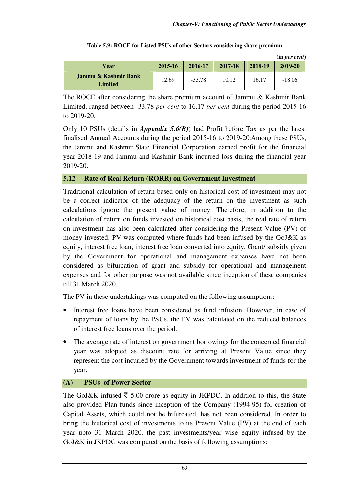|                                 |             |          |         |         | (in per cent) |
|---------------------------------|-------------|----------|---------|---------|---------------|
| Year                            | $2015 - 16$ | 2016-17  | 2017-18 | 2018-19 | 2019-20       |
| Jammu & Kashmir Bank<br>Limited | 12.69       | $-33.78$ | 10.12   | 16.17   | $-18.06$      |

|  |  |  | Table 5.9: ROCE for Listed PSUs of other Sectors considering share premium |
|--|--|--|----------------------------------------------------------------------------|
|  |  |  |                                                                            |

The ROCE after considering the share premium account of Jammu & Kashmir Bank Limited, ranged between -33.78 *per cent* to 16.17 *per cent* during the period 2015-16 to 2019-20.

Only 10 PSUs (details in *Appendix 5.6(B)*) had Profit before Tax as per the latest finalised Annual Accounts during the period 2015-16 to 2019-20.Among these PSUs, the Jammu and Kashmir State Financial Corporation earned profit for the financial year 2018-19 and Jammu and Kashmir Bank incurred loss during the financial year 2019-20.

# **5.12 Rate of Real Return (RORR) on Government Investment**

Traditional calculation of return based only on historical cost of investment may not be a correct indicator of the adequacy of the return on the investment as such calculations ignore the present value of money. Therefore, in addition to the calculation of return on funds invested on historical cost basis, the real rate of return on investment has also been calculated after considering the Present Value (PV) of money invested. PV was computed where funds had been infused by the GoJ&K as equity, interest free loan, interest free loan converted into equity. Grant/ subsidy given by the Government for operational and management expenses have not been considered as bifurcation of grant and subsidy for operational and management expenses and for other purpose was not available since inception of these companies till 31 March 2020.

The PV in these undertakings was computed on the following assumptions:

- Interest free loans have been considered as fund infusion. However, in case of repayment of loans by the PSUs, the PV was calculated on the reduced balances of interest free loans over the period.
- The average rate of interest on government borrowings for the concerned financial year was adopted as discount rate for arriving at Present Value since they represent the cost incurred by the Government towards investment of funds for the year.

# **(A) PSUs of Power Sector**

The GoJ&K infused  $\bar{\tau}$  5.00 crore as equity in JKPDC. In addition to this, the State also provided Plan funds since inception of the Company (1994-95) for creation of Capital Assets, which could not be bifurcated, has not been considered. In order to bring the historical cost of investments to its Present Value (PV) at the end of each year upto 31 March 2020, the past investments/year wise equity infused by the GoJ&K in JKPDC was computed on the basis of following assumptions: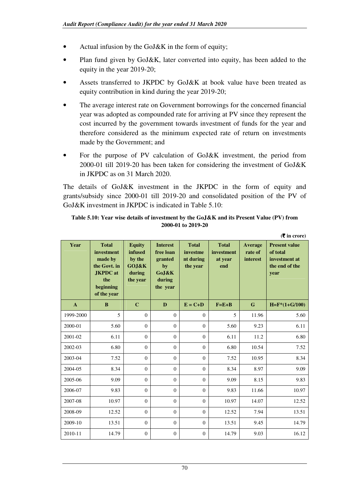- Actual infusion by the GoJ&K in the form of equity;
- Plan fund given by GoJ&K, later converted into equity, has been added to the equity in the year 2019-20;
- Assets transferred to JKPDC by GoJ&K at book value have been treated as equity contribution in kind during the year 2019-20;
- The average interest rate on Government borrowings for the concerned financial year was adopted as compounded rate for arriving at PV since they represent the cost incurred by the government towards investment of funds for the year and therefore considered as the minimum expected rate of return on investments made by the Government; and
- For the purpose of PV calculation of GoJ&K investment, the period from 2000-01 till 2019-20 has been taken for considering the investment of GoJ&K in JKPDC as on 31 March 2020.

The details of GoJ&K investment in the JKPDC in the form of equity and grants/subsidy since 2000-01 till 2019-20 and consolidated position of the PV of GoJ&K investment in JKPDC is indicated in Table 5.10:

#### **Table 5.10: Year wise details of investment by the GoJ&K and its Present Value (PV) from 2000-01 to 2019-20**

|              |                                                                                                             |                                                                   |                                                                              |                                                   |                                              |                                | $($ ₹ in crore)                                                             |
|--------------|-------------------------------------------------------------------------------------------------------------|-------------------------------------------------------------------|------------------------------------------------------------------------------|---------------------------------------------------|----------------------------------------------|--------------------------------|-----------------------------------------------------------------------------|
| Year         | <b>Total</b><br>investment<br>made by<br>the Govt. in<br><b>JKPDC</b> at<br>the<br>beginning<br>of the year | <b>Equity</b><br>infused<br>by the<br>GOJ&K<br>during<br>the year | <b>Interest</b><br>free loan<br>granted<br>by<br>GoJ&K<br>during<br>the year | <b>Total</b><br>investme<br>nt during<br>the year | <b>Total</b><br>investment<br>at vear<br>end | Average<br>rate of<br>interest | <b>Present value</b><br>of total<br>investment at<br>the end of the<br>year |
| $\mathbf{A}$ | $\bf{B}$                                                                                                    | $\mathbf C$                                                       | D                                                                            | $E = C + D$                                       | $F = E + B$                                  | $\mathbf{G}$                   | $H = F*(1+G/100)$                                                           |
| 1999-2000    | 5                                                                                                           | $\Omega$                                                          | $\Omega$                                                                     | $\Omega$                                          | 5                                            | 11.96                          | 5.60                                                                        |
| 2000-01      | 5.60                                                                                                        | $\Omega$                                                          | $\Omega$                                                                     | $\Omega$                                          | 5.60                                         | 9.23                           | 6.11                                                                        |
| 2001-02      | 6.11                                                                                                        | $\Omega$                                                          | $\Omega$                                                                     | $\Omega$                                          | 6.11                                         | 11.2                           | 6.80                                                                        |
| 2002-03      | 6.80                                                                                                        | $\Omega$                                                          | $\overline{0}$                                                               | $\Omega$                                          | 6.80                                         | 10.54                          | 7.52                                                                        |
| 2003-04      | 7.52                                                                                                        | $\Omega$                                                          | $\Omega$                                                                     | $\Omega$                                          | 7.52                                         | 10.95                          | 8.34                                                                        |
| 2004-05      | 8.34                                                                                                        | $\Omega$                                                          | $\mathbf{0}$                                                                 | $\Omega$                                          | 8.34                                         | 8.97                           | 9.09                                                                        |
| 2005-06      | 9.09                                                                                                        | $\Omega$                                                          | $\Omega$                                                                     | $\Omega$                                          | 9.09                                         | 8.15                           | 9.83                                                                        |
| 2006-07      | 9.83                                                                                                        | $\Omega$                                                          | $\Omega$                                                                     | $\Omega$                                          | 9.83                                         | 11.66                          | 10.97                                                                       |
| 2007-08      | 10.97                                                                                                       | $\Omega$                                                          | $\theta$                                                                     | $\Omega$                                          | 10.97                                        | 14.07                          | 12.52                                                                       |
| 2008-09      | 12.52                                                                                                       | $\Omega$                                                          | $\theta$                                                                     | $\overline{0}$                                    | 12.52                                        | 7.94                           | 13.51                                                                       |
| 2009-10      | 13.51                                                                                                       | $\Omega$                                                          | $\Omega$                                                                     | $\Omega$                                          | 13.51                                        | 9.45                           | 14.79                                                                       |
| 2010-11      | 14.79                                                                                                       | $\Omega$                                                          | $\theta$                                                                     | $\mathbf{0}$                                      | 14.79                                        | 9.03                           | 16.12                                                                       |

70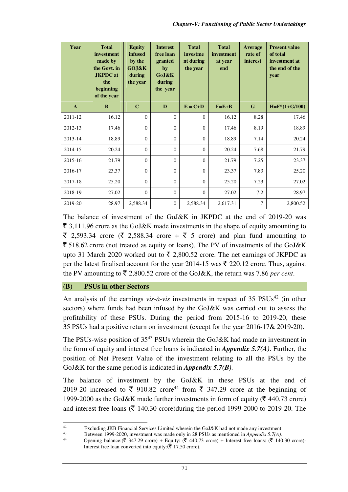| Year         | <b>Total</b><br>investment<br>made by<br>the Govt. in<br><b>JKPDC</b> at<br>the<br>beginning<br>of the year | <b>Equity</b><br>infused<br>by the<br>GOJ&K<br>during<br>the year | <b>Interest</b><br>free loan<br>granted<br>by<br>GoJ&K<br>during<br>the year | <b>Total</b><br>investme<br>nt during<br>the year | <b>Total</b><br>investment<br>at year<br>end | Average<br>rate of<br><b>interest</b> | <b>Present value</b><br>of total<br>investment at<br>the end of the<br>year |
|--------------|-------------------------------------------------------------------------------------------------------------|-------------------------------------------------------------------|------------------------------------------------------------------------------|---------------------------------------------------|----------------------------------------------|---------------------------------------|-----------------------------------------------------------------------------|
| $\mathbf{A}$ | B                                                                                                           | $\mathbf C$                                                       | D                                                                            | $E = C + D$                                       | $F = E + B$                                  | G                                     | $H = F*(1+G/100)$                                                           |
| 2011-12      | 16.12                                                                                                       | $\Omega$                                                          | $\theta$                                                                     | $\Omega$                                          | 16.12                                        | 8.28                                  | 17.46                                                                       |
| 2012-13      | 17.46                                                                                                       | $\Omega$                                                          | $\Omega$                                                                     | $\Omega$                                          | 17.46                                        | 8.19                                  | 18.89                                                                       |
| 2013-14      | 18.89                                                                                                       | $\Omega$                                                          | $\theta$                                                                     | $\Omega$                                          | 18.89                                        | 7.14                                  | 20.24                                                                       |
| 2014-15      | 20.24                                                                                                       | $\Omega$                                                          | $\Omega$                                                                     | $\Omega$                                          | 20.24                                        | 7.68                                  | 21.79                                                                       |
| 2015-16      | 21.79                                                                                                       | $\Omega$                                                          | $\Omega$                                                                     | $\Omega$                                          | 21.79                                        | 7.25                                  | 23.37                                                                       |
| 2016-17      | 23.37                                                                                                       | $\Omega$                                                          | $\theta$                                                                     | $\Omega$                                          | 23.37                                        | 7.83                                  | 25.20                                                                       |
| 2017-18      | 25.20                                                                                                       | $\Omega$                                                          | $\Omega$                                                                     | $\Omega$                                          | 25.20                                        | 7.23                                  | 27.02                                                                       |
| 2018-19      | 27.02                                                                                                       | $\theta$                                                          | $\theta$                                                                     | $\mathbf{0}$                                      | 27.02                                        | 7.2                                   | 28.97                                                                       |
| 2019-20      | 28.97                                                                                                       | 2,588.34                                                          | $\overline{0}$                                                               | 2,588.34                                          | 2,617.31                                     | $\tau$                                | 2,800.52                                                                    |

The balance of investment of the GoJ&K in JKPDC at the end of 2019-20 was  $\bar{\xi}$  3,111.96 crore as the GoJ&K made investments in the shape of equity amounting to  $\overline{\xi}$  2,593.34 crore ( $\overline{\xi}$  2,588.34 crore +  $\overline{\xi}$  5 crore) and plan fund amounting to  $\overline{\xi}$  518.62 crore (not treated as equity or loans). The PV of investments of the GoJ&K upto 31 March 2020 worked out to  $\bar{\tau}$  2,800.52 crore. The net earnings of JKPDC as per the latest finalised account for the year 2014-15 was  $\bar{\tau}$  220.12 crore. Thus, against the PV amounting to  $\bar{\tau}$  2,800.52 crore of the GoJ&K, the return was 7.86 *per cent*.

# **(B) PSUs in other Sectors**

l

An analysis of the earnings *vis-à-vis* investments in respect of 35 PSUs<sup>42</sup> (in other sectors) where funds had been infused by the GoJ&K was carried out to assess the profitability of these PSUs. During the period from 2015-16 to 2019-20, these 35 PSUs had a positive return on investment (except for the year 2016-17& 2019-20).

The PSUs-wise position of  $35^{43}$  PSUs wherein the GoJ&K had made an investment in the form of equity and interest free loans is indicated in *Appendix 5.7(A)*. Further, the position of Net Present Value of the investment relating to all the PSUs by the GoJ&K for the same period is indicated in *Appendix 5.7(B).*

The balance of investment by the GoJ&K in these PSUs at the end of 2019-20 increased to  $\bar{\xi}$  910.82 crore<sup>44</sup> from  $\bar{\xi}$  347.29 crore at the beginning of 1999-2000 as the GoJ&K made further investments in form of equity ( $\bar{\tau}$  440.73 crore) and interest free loans ( $\bar{\tau}$  140.30 crore)during the period 1999-2000 to 2019-20. The

<sup>42</sup> Excluding JKB Financial Services Limited wherein the GoJ&K had not made any investment.

<sup>43</sup> Between 1999-2020, investment was made only in 28 PSUs as mentioned in *Appendix 5.7(A)*.<br>44 Opening belange  $(\mathbf{F} 347.20 \text{ erg})$ . Equity  $(\mathbf{F} 440.73 \text{ erg})$ . Interact free leaps:  $(\mathbf{F} 140)$ 

Opening balance:( $\bar{\ell}$  347.29 crore) + Equity: ( $\bar{\ell}$  440.73 crore) + Interest free loans: ( $\bar{\ell}$  140.30 crore)-Interest free loan converted into equity: $(\bar{\bar{\mathbf{\tau}}} 17.50 \text{ core})$ .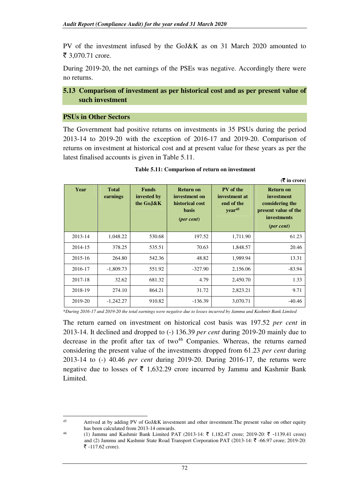PV of the investment infused by the GoJ&K as on 31 March 2020 amounted to ₹ 3,070.71 crore.

During 2019-20, the net earnings of the PSEs was negative. Accordingly there were no returns.

#### **5.13 Comparison of investment as per historical cost and as per present value of such investment**

#### **PSUs in Other Sectors**

l

The Government had positive returns on investments in 35 PSUs during the period 2013-14 to 2019-20 with the exception of 2016-17 and 2019-20. Comparison of returns on investment at historical cost and at present value for these years as per the latest finalised accounts is given in Table 5.11.

**(**` **in crore)** 

| Year    | <b>Total</b><br>earnings | <b>Funds</b><br>invested by<br>the Go.J&K | <b>Return on</b><br>investment on<br>historical cost<br><b>basis</b><br>$(per cent)$ | PV of the<br>investment at<br>end of the<br>year <sup>45</sup> | <b>Return on</b><br>investment<br>considering the<br>present value of the<br><i>investments</i><br>$(per cent)$ |
|---------|--------------------------|-------------------------------------------|--------------------------------------------------------------------------------------|----------------------------------------------------------------|-----------------------------------------------------------------------------------------------------------------|
| 2013-14 | 1,048.22                 | 530.68                                    | 197.52                                                                               | 1,711.90                                                       | 61.23                                                                                                           |
| 2014-15 | 378.25                   | 535.51                                    | 70.63                                                                                | 1,848.57                                                       | 20.46                                                                                                           |
| 2015-16 | 264.80                   | 542.36                                    | 48.82                                                                                | 1,989.94                                                       | 13.31                                                                                                           |
| 2016-17 | $-1,809.73$              | 551.92                                    | $-327.90$                                                                            | 2,156.06                                                       | $-83.94$                                                                                                        |
| 2017-18 | 32.62                    | 681.32                                    | 4.79                                                                                 | 2,450.70                                                       | 1.33                                                                                                            |
| 2018-19 | 274.10                   | 864.21                                    | 31.72                                                                                | 2,823.21                                                       | 9.71                                                                                                            |
| 2019-20 | $-1,242.27$              | 910.82                                    | $-136.39$                                                                            | 3,070.71                                                       | $-40.46$                                                                                                        |

\**During 2016-17 and 2019-20 the total earnings were negative due to losses incurred by Jammu and Kashmir Bank Limited*

The return earned on investment on historical cost basis was 197.52 *per cent* in 2013-14. It declined and dropped to (-) 136.39 *per cent* during 2019-20 mainly due to decrease in the profit after tax of two $46$  Companies. Whereas, the returns earned considering the present value of the investments dropped from 61.23 *per cent* during 2013-14 to (-) 40.46 *per cent* during 2019-20. During 2016-17, the returns were negative due to losses of  $\bar{\tau}$  1,632.29 crore incurred by Jammu and Kashmir Bank Limited.

<sup>45</sup> Arrived at by adding PV of GoJ&K investment and other investment.The present value on other equity has been calculated from 2013-14 onwards.

<sup>&</sup>lt;sup>46</sup> (1) Jammu and Kashmir Bank Limited PAT (2013-14: ₹ 1,182.47 crore; 2019-20: ₹ -1139.41 crore) and (2) Jammu and Kashmir State Road Transport Corporation PAT (2013-14:  $\bar{\tau}$  -66.97 crore; 2019-20: ₹  $-117.62$  crore).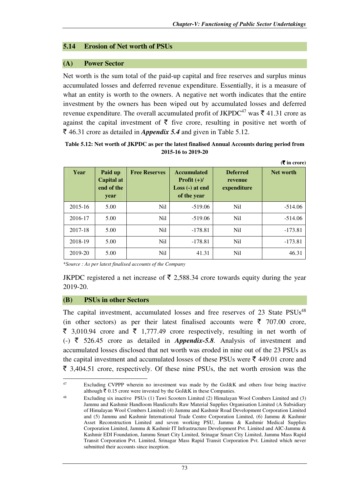#### **5.14 Erosion of Net worth of PSUs**

#### **(A) Power Sector**

Net worth is the sum total of the paid-up capital and free reserves and surplus minus accumulated losses and deferred revenue expenditure. Essentially, it is a measure of what an entity is worth to the owners. A negative net worth indicates that the entire investment by the owners has been wiped out by accumulated losses and deferred revenue expenditure. The overall accumulated profit of JKPDC<sup>47</sup> was  $\bar{\tau}$  41.31 crore as against the capital investment of  $\bar{\tau}$  five crore, resulting in positive net worth of  $\bar{\xi}$  46.31 crore as detailed in *Appendix 5.4* and given in Table 5.12.

#### **Table 5.12: Net worth of JKPDC as per the latest finalised Annual Accounts during period from 2015-16 to 2019-20**

|             |                                             |                      |                                                                         |                                           | $(5 \times 1)$ (Theore) |
|-------------|---------------------------------------------|----------------------|-------------------------------------------------------------------------|-------------------------------------------|-------------------------|
| Year        | Paid up<br>Capital at<br>end of the<br>year | <b>Free Reserves</b> | <b>Accumulated</b><br>Profit $(+)/$<br>$Loss (-)$ at end<br>of the year | <b>Deferred</b><br>revenue<br>expenditure | Net worth               |
| $2015 - 16$ | 5.00                                        | N <sub>il</sub>      | $-519.06$                                                               | N <sub>il</sub>                           | $-514.06$               |
| 2016-17     | 5.00                                        | N <sub>il</sub>      | $-519.06$                                                               | N <sub>il</sub>                           | $-514.06$               |
| 2017-18     | 5.00                                        | N <sub>il</sub>      | $-178.81$                                                               | N <sub>i</sub>                            | $-173.81$               |
| 2018-19     | 5.00                                        | <b>Nil</b>           | $-178.81$                                                               | N <sub>il</sub>                           | $-173.81$               |
| 2019-20     | 5.00                                        | N <sub>il</sub>      | 41.31                                                                   | N <sub>il</sub>                           | 46.31                   |

\**Source : As per latest finalised accounts of the Company*

JKPDC registered a net increase of  $\bar{\tau}$  2,588.34 crore towards equity during the year 2019-20.

#### **(B) PSUs in other Sectors**

l

The capital investment, accumulated losses and free reserves of 23 State PSUs<sup>48</sup> (in other sectors) as per their latest finalised accounts were  $\bar{\tau}$  707.00 crore,  $\bar{\xi}$  3,010.94 crore and  $\bar{\xi}$  1,777.49 crore respectively, resulting in net worth of (-)  $\bar{\tau}$  526.45 crore as detailed in *Appendix-5.8.* Analysis of investment and accumulated losses disclosed that net worth was eroded in nine out of the 23 PSUs as the capital investment and accumulated losses of these PSUs were  $\bar{\tau}$  449.01 crore and  $\bar{\xi}$  3,404.51 crore, respectively. Of these nine PSUs, the net worth erosion was the

<sup>47</sup> Excluding CVPPP wherein no investment was made by the GoJ&K and others four being inactive although  $\bar{\tau}$  0.15 crore were invested by the GoJ&K in these Companies.

<sup>48</sup> Excluding six inactive PSUs (1) Tawi Scooters Limited (2) Himalayan Wool Combers Limited and (3) Jammu and Kashmir Handloom Handicrafts Raw Material Supplies Organisation Limited (A Subsidiary of Himalayan Wool Combers Limited) (4) Jammu and Kashmir Road Development Corporation Limited and (5) Jammu and Kashmir International Trade Centre Corporation Limited, (6) Jammu & Kashmir Asset Reconstruction Limited and seven working PSU, Jammu & Kashmir Medical Supplies Corporation Limited, Jammu & Kashmir IT Infrastructure Development Pvt. Limited and AIC-Jammu & Kashmir EDI Foundation, Jammu Smart City Limited, Srinagar Smart City Limited, Jammu Mass Rapid Transit Corporation Pvt. Limited, Srinagar Mass Rapid Transit Corporation Pvt. Limited which never submitted their accounts since inception.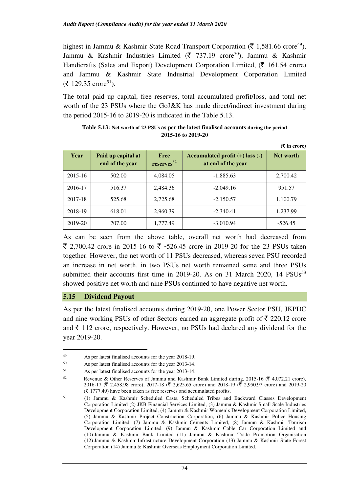highest in Jammu & Kashmir State Road Transport Corporation ( $\bar{\tau}$  1,581.66 crore<sup>49</sup>), Jammu & Kashmir Industries Limited ( $\bar{\tau}$  737.19 crore<sup>50</sup>), Jammu & Kashmir Handicrafts (Sales and Export) Development Corporation Limited,  $(\bar{\mathbf{\zeta}})$  161.54 crore) and Jammu & Kashmir State Industrial Development Corporation Limited  $({\bar{\mathfrak{F}}} 129.35$  crore<sup>51</sup>).

The total paid up capital, free reserves, total accumulated profit/loss, and total net worth of the 23 PSUs where the GoJ&K has made direct/indirect investment during the period 2015-16 to 2019-20 is indicated in the Table 5.13.

|         |                                       |                                         |                                                           | $(5 \times 1)$ (Theore) |
|---------|---------------------------------------|-----------------------------------------|-----------------------------------------------------------|-------------------------|
| Year    | Paid up capital at<br>end of the year | <b>Free</b><br>$reserves$ <sup>52</sup> | Accumulated profit $(+)$ loss $(-)$<br>at end of the year | Net worth               |
| 2015-16 | 502.00                                | 4,084.05                                | $-1,885.63$                                               | 2,700.42                |
| 2016-17 | 516.37                                | 2,484.36                                | $-2,049.16$                                               | 951.57                  |
| 2017-18 | 525.68                                | 2,725.68                                | $-2,150.57$                                               | 1,100.79                |
| 2018-19 | 618.01                                | 2,960.39                                | $-2,340.41$                                               | 1,237.99                |
| 2019-20 | 707.00                                | 1,777.49                                | $-3,010.94$                                               | $-526.45$               |

| Table 5.13: Net worth of 23 PSUs as per the latest finalised accounts during the period |
|-----------------------------------------------------------------------------------------|
| 2015-16 to 2019-20                                                                      |

As can be seen from the above table, overall net worth had decreased from ₹ 2,700.42 crore in 2015-16 to ₹ -526.45 crore in 2019-20 for the 23 PSUs taken together. However, the net worth of 11 PSUs decreased, whereas seven PSU recorded an increase in net worth, in two PSUs net worth remained same and three PSUs submitted their accounts first time in 2019-20. As on 31 March 2020, 14  $PSUs^{53}$ showed positive net worth and nine PSUs continued to have negative net worth.

#### **5.15 Dividend Payout**

 $\overline{a}$ 

As per the latest finalised accounts during 2019-20, one Power Sector PSU, JKPDC and nine working PSUs of other Sectors earned an aggregate profit of  $\bar{\tau}$  220.12 crore and  $\bar{\tau}$  112 crore, respectively. However, no PSUs had declared any dividend for the year 2019-20.

<sup>49</sup> As per latest finalised accounts for the year 2018-19.

As per latest finalised accounts for the year 2013-14.

<sup>51</sup> As per latest finalised accounts for the year 2013-14.

<sup>52</sup> Revenue & Other Reserves of Jammu and Kashmir Bank Limited during, 2015-16 ( $\bar{\ell}$  4,072.21 crore), 2016-17 ( $\bar{\tau}$  2,458.98 crore), 2017-18 ( $\bar{\tau}$  2,625.65 crore) and 2018-19 ( $\bar{\tau}$  2,950.97 crore) and 2019-20  $(\bar{\mathcal{F}} 1777.49)$  have been taken as free reserves and accumulated profits.

<sup>53</sup> (1) Jammu & Kashmir Scheduled Casts, Scheduled Tribes and Backward Classes Development Corporation Limited (2) JKB Financial Services Limited, (3) Jammu & Kashmir Small Scale Industries Development Corporation Limited, (4) Jammu & Kashmir Women's Development Corporation Limited, (5) Jammu & Kashmir Project Construction Corporation, (6) Jammu & Kashmir Police Housing Corporation Limited, (7) Jammu & Kashmir Cements Limited, (8) Jammu & Kashmir Tourism Development Corporation Limited, (9) Jammu & Kashmir Cable Car Corporation Limited and (10) Jammu & Kashmir Bank Limited (11) Jammu & Kashmir Trade Promotion Organisation (12) Jammu & Kashmir Infrastructure Development Corporation (13) Jammu & Kashmir State Forest Corporation (14) Jammu & Kashmir Overseas Employment Corporation Limited.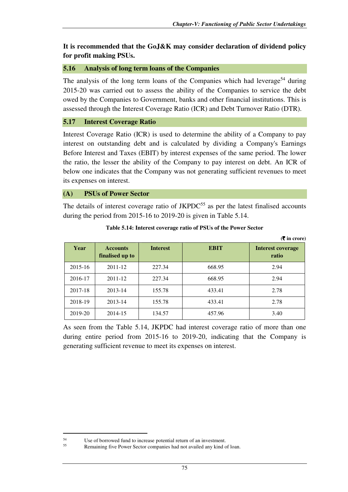**(**` **in crore)**

# **It is recommended that the GoJ&K may consider declaration of dividend policy for profit making PSUs.**

# **5.16 Analysis of long term loans of the Companies**

The analysis of the long term loans of the Companies which had leverage<sup>54</sup> during 2015-20 was carried out to assess the ability of the Companies to service the debt owed by the Companies to Government, banks and other financial institutions. This is assessed through the Interest Coverage Ratio (ICR) and Debt Turnover Ratio (DTR).

#### **5.17 Interest Coverage Ratio**

Interest Coverage Ratio (ICR) is used to determine the ability of a Company to pay interest on outstanding debt and is calculated by dividing a Company's Earnings Before Interest and Taxes (EBIT) by interest expenses of the same period. The lower the ratio, the lesser the ability of the Company to pay interest on debt. An ICR of below one indicates that the Company was not generating sufficient revenues to meet its expenses on interest.

**(A) PSUs of Power Sector** 

The details of interest coverage ratio of  $JKPDC<sup>55</sup>$  as per the latest finalised accounts during the period from 2015-16 to 2019-20 is given in Table 5.14.

|         |                                    |                 |             | (S in crore)                      |
|---------|------------------------------------|-----------------|-------------|-----------------------------------|
| Year    | <b>Accounts</b><br>finalised up to | <b>Interest</b> | <b>EBIT</b> | <b>Interest coverage</b><br>ratio |
| 2015-16 | 2011-12                            | 227.34          | 668.95      | 2.94                              |
| 2016-17 | 2011-12                            | 227.34          | 668.95      | 2.94                              |
| 2017-18 | 2013-14                            | 155.78          | 433.41      | 2.78                              |
| 2018-19 | 2013-14                            | 155.78          | 433.41      | 2.78                              |
| 2019-20 | 2014-15                            | 134.57          | 457.96      | 3.40                              |

**Table 5.14: Interest coverage ratio of PSUs of the Power Sector** 

As seen from the Table 5.14, JKPDC had interest coverage ratio of more than one during entire period from 2015-16 to 2019-20, indicating that the Company is generating sufficient revenue to meet its expenses on interest.

l

 $55$  Use of borrowed fund to increase potential return of an investment.<br> $55$  Remaining five Power Sector companies had not availed any kind c

Remaining five Power Sector companies had not availed any kind of loan.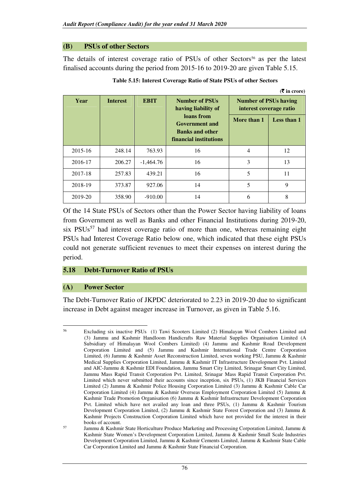#### **(B) PSUs of other Sectors**

The details of interest coverage ratio of PSUs of other Sectors<sup>56</sup> as per the latest finalised accounts during the period from 2015-16 to 2019-20 are given Table 5.15.

| Year    | <b>Interest</b> | <b>EBIT</b> | <b>Number of PSUs</b><br>having liability of<br>loans from<br><b>Government and</b><br><b>Banks and other</b><br>financial institutions | <b>Number of PSUs having</b><br>interest coverage ratio<br>More than 1 | Less than 1 |
|---------|-----------------|-------------|-----------------------------------------------------------------------------------------------------------------------------------------|------------------------------------------------------------------------|-------------|
| 2015-16 | 248.14          | 763.93      | 16                                                                                                                                      | $\overline{4}$                                                         | 12          |
| 2016-17 | 206.27          | $-1,464.76$ | 16                                                                                                                                      | 3                                                                      | 13          |
| 2017-18 | 257.83          | 439.21      | 16                                                                                                                                      | 5                                                                      | 11          |
| 2018-19 | 373.87          | 927.06      | 14                                                                                                                                      | 5                                                                      | 9           |
| 2019-20 | 358.90          | $-910.00$   | 14                                                                                                                                      | 6                                                                      | 8           |

**Table 5.15: Interest Coverage Ratio of State PSUs of other Sectors**

**(**` **in crore)** 

Of the 14 State PSUs of Sectors other than the Power Sector having liability of loans from Government as well as Banks and other Financial Institutions during 2019-20, six  $PSUs<sup>57</sup>$  had interest coverage ratio of more than one, whereas remaining eight PSUs had Interest Coverage Ratio below one, which indicated that these eight PSUs could not generate sufficient revenues to meet their expenses on interest during the period.

#### **5.18 Debt-Turnover Ratio of PSUs**

#### **(A) Power Sector**

 $\overline{a}$ 

The Debt-Turnover Ratio of JKPDC deteriorated to 2.23 in 2019-20 due to significant increase in Debt against meager increase in Turnover, as given in Table 5.16.

<sup>56</sup> Excluding six inactive PSUs (1) Tawi Scooters Limited (2) Himalayan Wool Combers Limited and (3) Jammu and Kashmir Handloom Handicrafts Raw Material Supplies Organisation Limited (A Subsidiary of Himalayan Wool Combers Limited) (4) Jammu and Kashmir Road Development Corporation Limited and (5) Jammu and Kashmir International Trade Centre Corporation Limited, (6) Jammu & Kashmir Asset Reconstruction Limited, seven working PSU, Jammu & Kashmir Medical Supplies Corporation Limited, Jammu & Kashmir IT Infrastructure Development Pvt. Limited and AIC-Jammu & Kashmir EDI Foundation, Jammu Smart City Limited, Srinagar Smart City Limited, Jammu Mass Rapid Transit Corporation Pvt. Limited, Srinagar Mass Rapid Transit Corporation Pvt. Limited which never submitted their accounts since inception, six PSUs, (1) JKB Financial Services Limited (2) Jammu & Kashmir Police Housing Corporation Limited (3) Jammu & Kashmir Cable Car Corporation Limited (4) Jammu & Kashmir Overseas Employment Corporation Limited (5) Jammu & Kashmir Trade Promotion Organisation (6) Jammu & Kashmir Infrastructure Development Corporation Pvt. Limited which have not availed any loan and three PSUs, (1) Jammu & Kashmir Tourism Development Corporation Limited, (2) Jammu & Kashmir State Forest Corporation and (3) Jammu & Kashmir Projects Construction Corporation Limited which have not provided for the interest in their books of account.

<sup>57</sup> Jammu & Kashmir State Horticulture Produce Marketing and Processing Corporation Limited, Jammu & Kashmir State Women's Development Corporation Limited, Jammu & Kashmir Small Scale Industries Development Corporation Limited, Jammu & Kashmir Cements Limited, Jammu & Kashmir State Cable Car Corporation Limited and Jammu & Kashmir State Financial Corporation.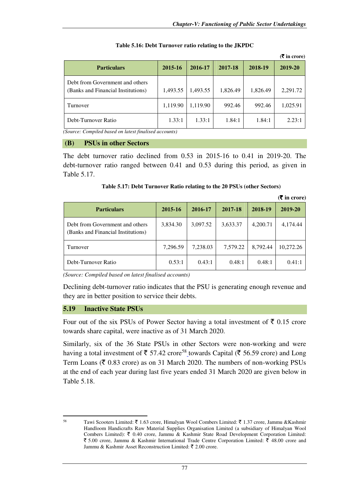|                                                                       |          |          |          |          | $($ $\overline{\mathbf{\xi}}$ in crore) |
|-----------------------------------------------------------------------|----------|----------|----------|----------|-----------------------------------------|
| <b>Particulars</b>                                                    | 2015-16  | 2016-17  | 2017-18  | 2018-19  | 2019-20                                 |
| Debt from Government and others<br>(Banks and Financial Institutions) | 1,493.55 | 1,493.55 | 1,826.49 | 1,826.49 | 2,291.72                                |
| Turnover                                                              | 1,119.90 | 1,119.90 | 992.46   | 992.46   | 1,025.91                                |
| Debt-Turnover Ratio                                                   | 1.33:1   | 1.33:1   | 1.84:1   | 1.84:1   | 2.23:1                                  |

#### **Table 5.16: Debt Turnover ratio relating to the JKPDC**

*(Source: Compiled based on latest finalised accounts)* 

#### **(B) PSUs in other Sectors**

The debt turnover ratio declined from 0.53 in 2015-16 to 0.41 in 2019-20. The debt-turnover ratio ranged between 0.41 and 0.53 during this period, as given in Table 5.17.

| Table 5.17: Debt Turnover Ratio relating to the 20 PSUs (other Sectors) |  |  |  |
|-------------------------------------------------------------------------|--|--|--|
|                                                                         |  |  |  |

|                                                                       |          |          |          |          | $(\bar{\bar{\mathbf{x}}}$ in crore) |
|-----------------------------------------------------------------------|----------|----------|----------|----------|-------------------------------------|
| <b>Particulars</b>                                                    | 2015-16  | 2016-17  | 2017-18  | 2018-19  | 2019-20                             |
| Debt from Government and others<br>(Banks and Financial Institutions) | 3,834.30 | 3,097.52 | 3,633.37 | 4,200.71 | 4,174.44                            |
| Turnover                                                              | 7,296.59 | 7,238.03 | 7,579.22 | 8.792.44 | 10.272.26                           |
| Debt-Turnover Ratio                                                   | 0.53:1   | 0.43:1   | 0.48:1   | 0.48:1   | 0.41:1                              |

*(Source: Compiled based on latest finalised accounts)* 

Declining debt-turnover ratio indicates that the PSU is generating enough revenue and they are in better position to service their debts.

#### **5.19 Inactive State PSUs**

 $\overline{a}$ 

Four out of the six PSUs of Power Sector having a total investment of  $\bar{\tau}$  0.15 crore towards share capital, were inactive as of 31 March 2020.

Similarly, six of the 36 State PSUs in other Sectors were non-working and were having a total investment of  $\bar{\tau}$  57.42 crore<sup>58</sup> towards Capital ( $\bar{\tau}$  56.59 crore) and Long Term Loans ( $\bar{\tau}$  0.83 crore) as on 31 March 2020. The numbers of non-working PSUs at the end of each year during last five years ended 31 March 2020 are given below in Table 5.18.

<sup>58</sup> Tawi Scooters Limited:  $\bar{\tau}$  1.63 crore, Himalyan Wool Combers Limited:  $\bar{\tau}$  1.37 crore, Jammu &Kashmir Handloom Handicrafts Raw Material Supplies Organisation Limited (a subsidiary of Himalyan Wool Combers Limited):  $\bar{\tau}$  0.40 crore, Jammu & Kashmir State Road Development Corporation Limited:  $\bar{\xi}$  5.00 crore, Jammu & Kashmir International Trade Centre Corporation Limited:  $\bar{\xi}$  48.00 crore and Jammu & Kashmir Asset Reconstruction Limited:  $\bar{\tau}$  2.00 crore.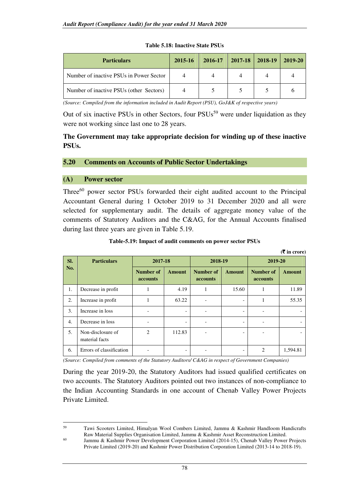| <b>Particulars</b>                      | 2015-16 | 2016-17 | 2017-18 | 2018-19 | 2019-20 |
|-----------------------------------------|---------|---------|---------|---------|---------|
| Number of inactive PSUs in Power Sector |         |         |         |         |         |
| Number of inactive PSUs (other Sectors) |         |         |         |         |         |

#### **Table 5.18: Inactive State PSUs**

*(Source: Compiled from the information included in Audit Report (PSU), GoJ&K of respective years)* 

Out of six inactive PSUs in other Sectors, four PSUs<sup>59</sup> were under liquidation as they were not working since last one to 28 years.

#### **The Government may take appropriate decision for winding up of these inactive PSUs.**

#### **5.20 Comments on Accounts of Public Sector Undertakings**

#### **(A) Power sector**

l

Three<sup>60</sup> power sector PSUs forwarded their eight audited account to the Principal Accountant General during 1 October 2019 to 31 December 2020 and all were selected for supplementary audit. The details of aggregate money value of the comments of Statutory Auditors and the C&AG, for the Annual Accounts finalised during last three years are given in Table 5.19.

#### **Table-5.19: Impact of audit comments on power sector PSUs**

|     |                                     |                                     |               |                                     |                              |                                     | $(5 \times 1)$ in crore) |
|-----|-------------------------------------|-------------------------------------|---------------|-------------------------------------|------------------------------|-------------------------------------|--------------------------|
| SI. | <b>Particulars</b>                  | 2017-18                             |               | 2018-19                             |                              | 2019-20                             |                          |
| No. |                                     | <b>Number of</b><br><b>accounts</b> | <b>Amount</b> | <b>Number of</b><br><b>accounts</b> | <b>Amount</b>                | <b>Number of</b><br><b>accounts</b> | <b>Amount</b>            |
| 1.  | Decrease in profit                  |                                     | 4.19          | 1                                   | 15.60                        | 1                                   | 11.89                    |
| 2.  | Increase in profit                  |                                     | 63.22         |                                     | $\qquad \qquad \blacksquare$ | 1                                   | 55.35                    |
| 3.  | Increase in loss                    |                                     |               |                                     |                              |                                     |                          |
| 4.  | Decrease in loss                    |                                     |               |                                     |                              |                                     |                          |
| 5.  | Non-disclosure of<br>material facts | $\overline{2}$                      | 112.83        |                                     |                              |                                     |                          |
| 6.  | Errors of classification            |                                     |               |                                     |                              | $\mathfrak{D}$                      | 1,594.81                 |

*(Source: Compiled from comments of the Statutory Auditors/ C&AG in respect of Government Companies)* 

During the year 2019-20, the Statutory Auditors had issued qualified certificates on two accounts. The Statutory Auditors pointed out two instances of non-compliance to the Indian Accounting Standards in one account of Chenab Valley Power Projects Private Limited.

<sup>59</sup> Tawi Scooters Limited, Himalyan Wool Combers Limited, Jammu & Kashmir Handloom Handicrafts Raw Material Supplies Organisation Limited, Jammu & Kashmir Asset Reconstruction Limited.

<sup>&</sup>lt;sup>60</sup> Jammu & Kashmir Power Development Corporation Limited (2014-15), Chenab Valley Power Projects Private Limited (2019-20) and Kashmir Power Distribution Corporation Limited (2013-14 to 2018-19).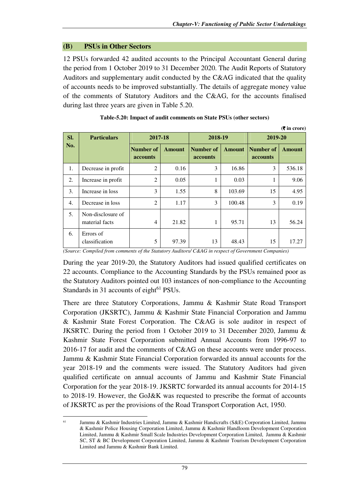# **(B) PSUs in Other Sectors**

 $\overline{a}$ 

12 PSUs forwarded 42 audited accounts to the Principal Accountant General during the period from 1 October 2019 to 31 December 2020. The Audit Reports of Statutory Auditors and supplementary audit conducted by the C&AG indicated that the quality of accounts needs to be improved substantially. The details of aggregate money value of the comments of Statutory Auditors and the C&AG, for the accounts finalised during last three years are given in Table 5.20.

|                  |                                     |                              |               |                       |               |                       | $(5 \infty)$  |  |
|------------------|-------------------------------------|------------------------------|---------------|-----------------------|---------------|-----------------------|---------------|--|
| SI.              | <b>Particulars</b>                  | 2017-18                      |               | 2018-19               |               |                       | 2019-20       |  |
| No.              |                                     | <b>Number of</b><br>accounts | <b>Amount</b> | Number of<br>accounts | <b>Amount</b> | Number of<br>accounts | <b>Amount</b> |  |
| 1.               | Decrease in profit                  | $\overline{2}$               | 0.16          | 3                     | 16.86         | 3                     | 536.18        |  |
| 2.               | Increase in profit                  | $\overline{2}$               | 0.05          | 1                     | 0.03          |                       | 9.06          |  |
| 3.               | Increase in loss                    | 3                            | 1.55          | 8                     | 103.69        | 15                    | 4.95          |  |
| $\overline{4}$ . | Decrease in loss                    | $\overline{2}$               | 1.17          | 3                     | 100.48        | 3                     | 0.19          |  |
| 5.               | Non-disclosure of<br>material facts | $\overline{4}$               | 21.82         | 1                     | 95.71         | 13                    | 56.24         |  |
| 6.               | Errors of<br>classification         | 5                            | 97.39         | 13                    | 48.43         | 15                    | 17.27         |  |

| Table-5.20: Impact of audit comments on State PSUs (other sectors) |  |
|--------------------------------------------------------------------|--|
|--------------------------------------------------------------------|--|

*(Source: Compiled from comments of the Statutory Auditors/ C&AG in respect of Government Companies)* 

During the year 2019-20, the Statutory Auditors had issued qualified certificates on 22 accounts. Compliance to the Accounting Standards by the PSUs remained poor as the Statutory Auditors pointed out 103 instances of non-compliance to the Accounting Standards in 31 accounts of eight $61$  PSUs.

There are three Statutory Corporations, Jammu & Kashmir State Road Transport Corporation (JKSRTC), Jammu & Kashmir State Financial Corporation and Jammu & Kashmir State Forest Corporation. The C&AG is sole auditor in respect of JKSRTC. During the period from 1 October 2019 to 31 December 2020, Jammu & Kashmir State Forest Corporation submitted Annual Accounts from 1996-97 to 2016-17 for audit and the comments of C&AG on these accounts were under process. Jammu & Kashmir State Financial Corporation forwarded its annual accounts for the year 2018-19 and the comments were issued. The Statutory Auditors had given qualified certificate on annual accounts of Jammu and Kashmir State Financial Corporation for the year 2018-19. JKSRTC forwarded its annual accounts for 2014-15 to 2018-19. However, the GoJ&K was requested to prescribe the format of accounts of JKSRTC as per the provisions of the Road Transport Corporation Act, 1950.

<sup>61</sup> Jammu & Kashmir Industries Limited, Jammu & Kashmir Handicrafts (S&E) Corporation Limited, Jammu & Kashmir Police Housing Corporation Limited, Jammu & Kashmir Handloom Development Corporation Limited, Jammu & Kashmir Small Scale Industries Development Corporation Limited, Jammu & Kashmir SC, ST & BC Development Corporation Limited, Jammu & Kashmir Tourism Development Corporation Limited and Jammu & Kashmir Bank Limited.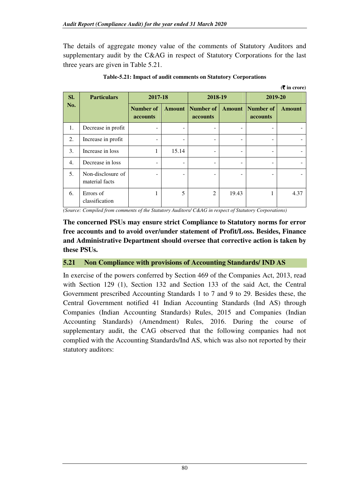The details of aggregate money value of the comments of Statutory Auditors and supplementary audit by the C&AG in respect of Statutory Corporations for the last three years are given in Table 5.21.

|                  |                                     |                       |               |                              |       |                                            | $($ $\overline{\mathbf{\xi}}$ in crore) |  |
|------------------|-------------------------------------|-----------------------|---------------|------------------------------|-------|--------------------------------------------|-----------------------------------------|--|
| SI.              | <b>Particulars</b>                  | 2017-18               |               | 2018-19                      |       |                                            | 2019-20                                 |  |
| No.              |                                     | Number of<br>accounts | <b>Amount</b> | Number of<br><b>accounts</b> |       | <b>Amount</b> Number of<br><b>accounts</b> | <b>Amount</b>                           |  |
| 1.               | Decrease in profit                  |                       |               |                              |       |                                            |                                         |  |
| 2.               | Increase in profit                  |                       | ۰             | $\overline{\phantom{a}}$     |       | -                                          |                                         |  |
| 3.               | Increase in loss                    | 1                     | 15.14         | -                            |       |                                            |                                         |  |
| $\overline{4}$ . | Decrease in loss                    |                       |               | $\overline{\phantom{a}}$     |       | $\overline{\phantom{a}}$                   |                                         |  |
| 5.               | Non-disclosure of<br>material facts |                       |               | ۰                            |       |                                            |                                         |  |
| 6.               | Errors of<br>classification         | 1                     | 5             | $\overline{2}$               | 19.43 | 1                                          | 4.37                                    |  |

**Table-5.21: Impact of audit comments on Statutory Corporations**

*(Source: Compiled from comments of the Statutory Auditors/ C&AG in respect of Statutory Corporations)* 

**The concerned PSUs may ensure strict Compliance to Statutory norms for error free accounts and to avoid over/under statement of Profit/Loss. Besides, Finance and Administrative Department should oversee that corrective action is taken by these PSUs.** 

#### **5.21 Non Compliance with provisions of Accounting Standards/ IND AS**

In exercise of the powers conferred by Section 469 of the Companies Act, 2013, read with Section 129 (1), Section 132 and Section 133 of the said Act, the Central Government prescribed Accounting Standards 1 to 7 and 9 to 29. Besides these, the Central Government notified 41 Indian Accounting Standards (Ind AS) through Companies (Indian Accounting Standards) Rules, 2015 and Companies (Indian Accounting Standards) (Amendment) Rules, 2016. During the course of supplementary audit, the CAG observed that the following companies had not complied with the Accounting Standards/Ind AS, which was also not reported by their statutory auditors: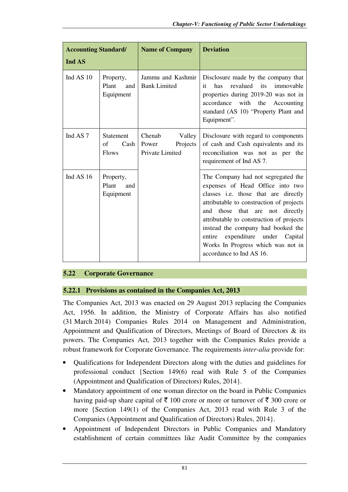| <b>Accounting Standard/</b><br>Ind AS |                                                | <b>Name of Company</b>                                   | <b>Deviation</b>                                                                                                                                                                                                                                                                                                                                                                                   |  |  |
|---------------------------------------|------------------------------------------------|----------------------------------------------------------|----------------------------------------------------------------------------------------------------------------------------------------------------------------------------------------------------------------------------------------------------------------------------------------------------------------------------------------------------------------------------------------------------|--|--|
| Ind AS 10                             | Property,<br>Plant<br>and<br>Equipment         | Jammu and Kashmir<br><b>Bank Limited</b>                 | Disclosure made by the company that<br>revalued its immovable<br>has<br>it<br>properties during 2019-20 was not in<br>accordance<br>with the Accounting<br>standard (AS 10) "Property Plant and<br>Equipment".                                                                                                                                                                                     |  |  |
| Ind AS <sub>7</sub>                   | <b>Statement</b><br>of<br>Cash<br><b>Flows</b> | Chenab<br>Valley<br>Projects<br>Power<br>Private Limited | Disclosure with regard to components<br>of cash and Cash equivalents and its<br>reconciliation was not as per the<br>requirement of Ind AS 7.                                                                                                                                                                                                                                                      |  |  |
| Ind AS 16                             | Property,<br>Plant<br>and<br>Equipment         |                                                          | The Company had not segregated the<br>expenses of Head Office into two<br>classes <i>i.e.</i> those that are directly<br>attributable to construction of projects<br>and those that are not<br>directly<br>attributable to construction of projects<br>instead the company had booked the<br>entire<br>expenditure under Capital<br>Works In Progress which was not in<br>accordance to Ind AS 16. |  |  |

# **5.22 Corporate Governance**

# **5.22.1 Provisions as contained in the Companies Act, 2013**

The Companies Act, 2013 was enacted on 29 August 2013 replacing the Companies Act, 1956. In addition, the Ministry of Corporate Affairs has also notified (31 March 2014) Companies Rules 2014 on Management and Administration, Appointment and Qualification of Directors, Meetings of Board of Directors & its powers. The Companies Act, 2013 together with the Companies Rules provide a robust framework for Corporate Governance. The requirements *inter-alia* provide for:

- Qualifications for Independent Directors along with the duties and guidelines for professional conduct {Section 149(6) read with Rule 5 of the Companies (Appointment and Qualification of Directors) Rules, 2014}.
- Mandatory appointment of one woman director on the board in Public Companies having paid-up share capital of  $\bar{\tau}$  100 crore or more or turnover of  $\bar{\tau}$  300 crore or more {Section 149(1) of the Companies Act, 2013 read with Rule 3 of the Companies (Appointment and Qualification of Directors) Rules, 2014}.
- Appointment of Independent Directors in Public Companies and Mandatory establishment of certain committees like Audit Committee by the companies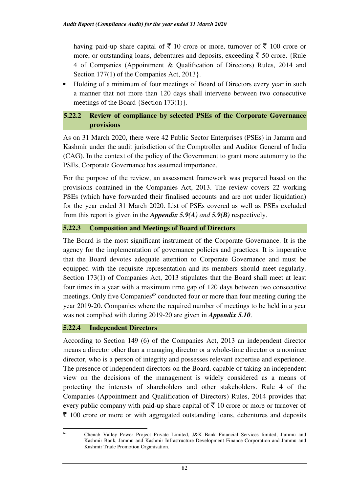having paid-up share capital of  $\bar{\tau}$  10 crore or more, turnover of  $\bar{\tau}$  100 crore or more, or outstanding loans, debentures and deposits, exceeding  $\bar{\tau}$  50 crore. {Rule 4 of Companies (Appointment & Qualification of Directors) Rules, 2014 and Section 177(1) of the Companies Act, 2013.

• Holding of a minimum of four meetings of Board of Directors every year in such a manner that not more than 120 days shall intervene between two consecutive meetings of the Board {Section 173(1)}.

# **5.22.2 Review of compliance by selected PSEs of the Corporate Governance provisions**

As on 31 March 2020, there were 42 Public Sector Enterprises (PSEs) in Jammu and Kashmir under the audit jurisdiction of the Comptroller and Auditor General of India (CAG). In the context of the policy of the Government to grant more autonomy to the PSEs, Corporate Governance has assumed importance.

For the purpose of the review, an assessment framework was prepared based on the provisions contained in the Companies Act, 2013. The review covers 22 working PSEs (which have forwarded their finalised accounts and are not under liquidation) for the year ended 31 March 2020. List of PSEs covered as well as PSEs excluded from this report is given in the *Appendix 5.9(A) and 5.9(B)* respectively.

# **5.22.3 Composition and Meetings of Board of Directors**

The Board is the most significant instrument of the Corporate Governance. It is the agency for the implementation of governance policies and practices. It is imperative that the Board devotes adequate attention to Corporate Governance and must be equipped with the requisite representation and its members should meet regularly. Section 173(1) of Companies Act, 2013 stipulates that the Board shall meet at least four times in a year with a maximum time gap of 120 days between two consecutive meetings. Only five Companies<sup>62</sup> conducted four or more than four meeting during the year 2019-20. Companies where the required number of meetings to be held in a year was not complied with during 2019-20 are given in *Appendix 5.10*.

#### **5.22.4 Independent Directors**

According to Section 149 (6) of the Companies Act, 2013 an independent director means a director other than a managing director or a whole-time director or a nominee director, who is a person of integrity and possesses relevant expertise and experience. The presence of independent directors on the Board, capable of taking an independent view on the decisions of the management is widely considered as a means of protecting the interests of shareholders and other stakeholders. Rule 4 of the Companies (Appointment and Qualification of Directors) Rules, 2014 provides that every public company with paid-up share capital of  $\bar{\tau}$  10 crore or more or turnover of  $\bar{\tau}$  100 crore or more or with aggregated outstanding loans, debentures and deposits

l

<sup>62</sup> Chenab Valley Power Project Private Limited, J&K Bank Financial Services limited, Jammu and Kashmir Bank, Jammu and Kashmir Infrastructure Development Finance Corporation and Jammu and Kashmir Trade Promotion Organisation.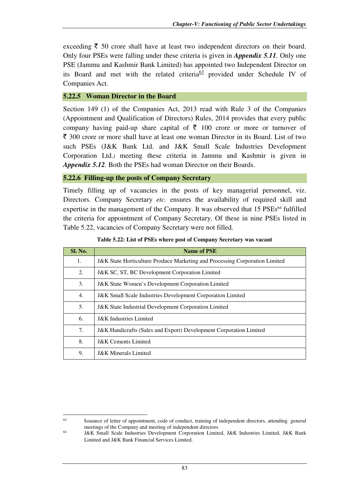exceeding  $\bar{\tau}$  50 crore shall have at least two independent directors on their board. Only four PSEs were falling under these criteria is given in *Appendix 5.11.* Only one PSE (Jammu and Kashmir Bank Limited) has appointed two Independent Director on its Board and met with the related criteria<sup>63</sup> provided under Schedule IV of Companies Act.

# **5.22.5 Woman Director in the Board**

l

Section 149 (1) of the Companies Act, 2013 read with Rule 3 of the Companies (Appointment and Qualification of Directors) Rules, 2014 provides that every public company having paid-up share capital of  $\bar{\tau}$  100 crore or more or turnover of  $\bar{\tau}$  300 crore or more shall have at least one woman Director in its Board. List of two such PSEs (J&K Bank Ltd. and J&K Small Scale Industries Development Corporation Ltd.) meeting these criteria in Jammu and Kashmir is given in *Appendix 5.12.* Both the PSEs had woman Director on their Boards.

#### **5.22.6 Filling-up the posts of Company Secretary**

Timely filling up of vacancies in the posts of key managerial personnel, viz. Directors. Company Secretary *etc.* ensures the availability of required skill and expertise in the management of the Company. It was observed that 15 PSEs<sup>64</sup> fulfilled the criteria for appointment of Company Secretary. Of these in nine PSEs listed in Table 5.22, vacancies of Company Secretary were not filled.

| Sl. No. | Name of PSE                                                                            |
|---------|----------------------------------------------------------------------------------------|
| 1.      | <b>J&amp;K</b> State Horticulture Produce Marketing and Processing Corporation Limited |
| 2.      | J&K SC, ST, BC Development Corporation Limited                                         |
| 3.      | <b>J&amp;K</b> State Women's Development Corporation Limited                           |
| 4.      | <b>J&amp;K Small Scale Industries Development Corporation Limited</b>                  |
| 5.      | <b>J&amp;K</b> State Industrial Development Corporation Limited                        |
| 6.      | <b>J&amp;K</b> Industries Limited                                                      |
| 7.      | <b>J&amp;K Handicrafts (Sales and Export) Development Corporation Limited</b>          |
| 8.      | <b>J&amp;K</b> Cements Limited                                                         |
| 9.      | <b>J&amp;K</b> Minerals Limited                                                        |

|  |  | Table 5.22: List of PSEs where post of Company Secretary was vacant |
|--|--|---------------------------------------------------------------------|
|  |  |                                                                     |

<sup>63</sup> Issuance of letter of appointment, code of conduct, training of independent directors, attending general meetings of the Company and meeting of independent directors. 64

J&K Small Scale Industries Development Corporation Limited, J&K Industries Limited, J&K Bank Limited and J&K Bank Financial Services Limited.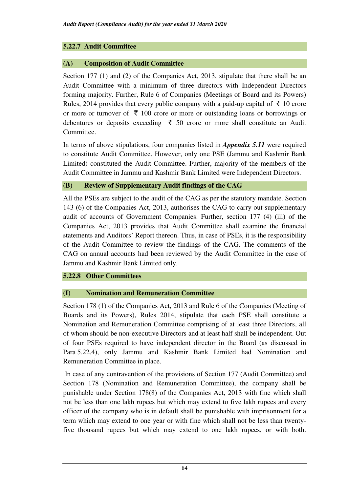# **5.22.7 Audit Committee**

# **(A) Composition of Audit Committee**

Section 177 (1) and (2) of the Companies Act, 2013, stipulate that there shall be an Audit Committee with a minimum of three directors with Independent Directors forming majority. Further, Rule 6 of Companies (Meetings of Board and its Powers) Rules, 2014 provides that every public company with a paid-up capital of  $\bar{\tau}$  10 crore or more or turnover of  $\bar{\tau}$  100 crore or more or outstanding loans or borrowings or debentures or deposits exceeding  $\bar{\tau}$  50 crore or more shall constitute an Audit Committee.

In terms of above stipulations, four companies listed in *Appendix 5.11* were required to constitute Audit Committee. However, only one PSE (Jammu and Kashmir Bank Limited) constituted the Audit Committee. Further, majority of the members of the Audit Committee in Jammu and Kashmir Bank Limited were Independent Directors.

# **(B) Review of Supplementary Audit findings of the CAG**

All the PSEs are subject to the audit of the CAG as per the statutory mandate. Section 143 (6) of the Companies Act, 2013, authorises the CAG to carry out supplementary audit of accounts of Government Companies. Further, section 177 (4) (iii) of the Companies Act, 2013 provides that Audit Committee shall examine the financial statements and Auditors' Report thereon. Thus, in case of PSEs, it is the responsibility of the Audit Committee to review the findings of the CAG. The comments of the CAG on annual accounts had been reviewed by the Audit Committee in the case of Jammu and Kashmir Bank Limited only.

**5.22.8 Other Committees** 

# **(I) Nomination and Remuneration Committee**

Section 178 (1) of the Companies Act, 2013 and Rule 6 of the Companies (Meeting of Boards and its Powers), Rules 2014, stipulate that each PSE shall constitute a Nomination and Remuneration Committee comprising of at least three Directors, all of whom should be non-executive Directors and at least half shall be independent. Out of four PSEs required to have independent director in the Board (as discussed in Para 5.22.4), only Jammu and Kashmir Bank Limited had Nomination and Remuneration Committee in place.

 In case of any contravention of the provisions of Section 177 (Audit Committee) and Section 178 (Nomination and Remuneration Committee), the company shall be punishable under Section 178(8) of the Companies Act, 2013 with fine which shall not be less than one lakh rupees but which may extend to five lakh rupees and every officer of the company who is in default shall be punishable with imprisonment for a term which may extend to one year or with fine which shall not be less than twentyfive thousand rupees but which may extend to one lakh rupees, or with both.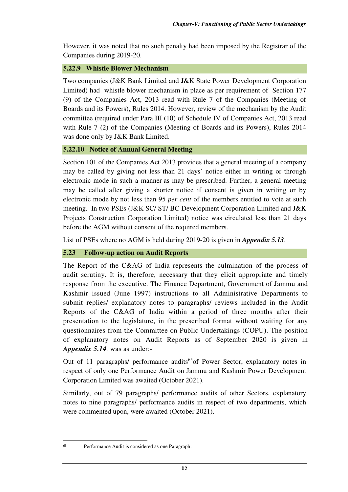However, it was noted that no such penalty had been imposed by the Registrar of the Companies during 2019-20.

# **5.22.9 Whistle Blower Mechanism**

Two companies (J&K Bank Limited and J&K State Power Development Corporation Limited) had whistle blower mechanism in place as per requirement of Section 177 (9) of the Companies Act, 2013 read with Rule 7 of the Companies (Meeting of Boards and its Powers), Rules 2014. However, review of the mechanism by the Audit committee (required under Para III (10) of Schedule IV of Companies Act, 2013 read with Rule 7 (2) of the Companies (Meeting of Boards and its Powers), Rules 2014 was done only by J&K Bank Limited.

# **5.22.10 Notice of Annual General Meeting**

Section 101 of the Companies Act 2013 provides that a general meeting of a company may be called by giving not less than 21 days' notice either in writing or through electronic mode in such a manner as may be prescribed. Further, a general meeting may be called after giving a shorter notice if consent is given in writing or by electronic mode by not less than 95 *per cent* of the members entitled to vote at such meeting. In two PSEs (J&K SC/ ST/ BC Development Corporation Limited and J&K Projects Construction Corporation Limited) notice was circulated less than 21 days before the AGM without consent of the required members.

List of PSEs where no AGM is held during 2019-20 is given in *Appendix 5.13*.

# **5.23 Follow-up action on Audit Reports**

The Report of the C&AG of India represents the culmination of the process of audit scrutiny. It is, therefore, necessary that they elicit appropriate and timely response from the executive. The Finance Department, Government of Jammu and Kashmir issued (June 1997) instructions to all Administrative Departments to submit replies/ explanatory notes to paragraphs/ reviews included in the Audit Reports of the C&AG of India within a period of three months after their presentation to the legislature, in the prescribed format without waiting for any questionnaires from the Committee on Public Undertakings (COPU). The position of explanatory notes on Audit Reports as of September 2020 is given in *Appendix 5.14.* was as under:-

Out of 11 paragraphs/ performance audits<sup>65</sup> of Power Sector, explanatory notes in respect of only one Performance Audit on Jammu and Kashmir Power Development Corporation Limited was awaited (October 2021).

Similarly, out of 79 paragraphs/ performance audits of other Sectors, explanatory notes to nine paragraphs/ performance audits in respect of two departments, which were commented upon, were awaited (October 2021).

 $\overline{a}$ 

<sup>65</sup> Performance Audit is considered as one Paragraph.